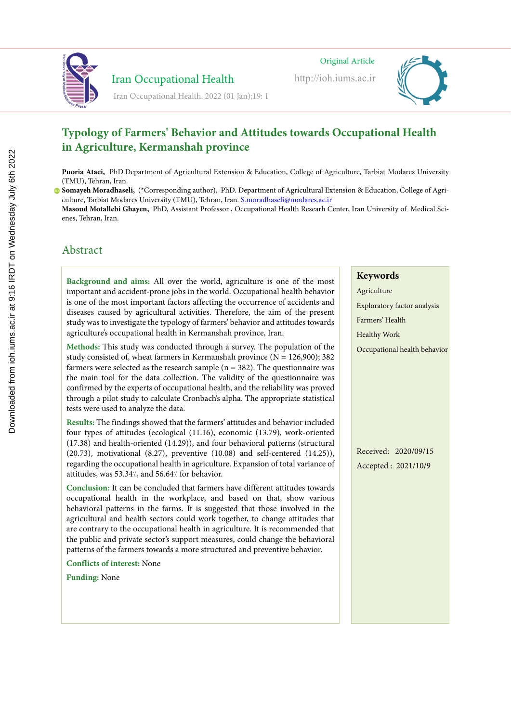

# Iran Occupational Health

 Iran Occupational Healthhttp://ioh.iums.ac.ir Original Article Original Article Original Article Iran Occupational Healthhttp://ioh.iums.ac.ir

http://ioh.iums.ac.ir



Iran Occupational Health. 2022 (01 Jan);19: 1

#### **Typology of Farmers' Behavior and Attitudes towards Occupational Health in Agriculture, Kermanshah province Lighting and color temperature assessment in the office workplaces and relationship to visual fatigue Lighting and color temperature assessment in the office workplaces and relationship to visual factor**

Puoria Ataei, PhD.Department of Agricultural Extension & Education, College of Agriculture, Tarbiat Modares University (TMU), Tehran, Iran. **Zahra Pirmoradi,** MSc, Department of Occupational Hygiene, School of Health, Hamadan University of Medical Sciences, Loria Ataei. PhD Department of Agricultural Extension & Education. College of Agriculture. Tarbiat Modares Uni **Zahra Pirmoradi,** MSc, Department of Occupational Hygiene, School of Health, Hamadan University of Medical Sciences,

**Somayeh Moradhaseli,** (\*Corresponding author), PhD. Department of Agricultural Extension & Education, College of Agri-Hamadan, Iran culture, Tarbiat Modares University (TMU), Tehran, Iran. S.moradhaseli@modares.ac.ir majeh Motamaseh, ("Cortesponting author), The Expartment of Egitentural Extension & Education, Concege of mo), Isman, **Majid Motamedzadeh Torghabeh,** Professor, Department of Ergonomics, School of Health, Hamadan University of

Masoud Motallebi Ghayen, PhD, Assistant Professor , Occupational Health Researh Center, Iran University of Medical Scienes, Tehran, Iran.

# Abstract Abstract Abstract

**Background and aims:** Lighting directly and indirectly affects employees' mental Background and aims: All over the world, agriculture is one of the most important and accident-prone jobs in the world. Occupational health behavior is one of the most important factors affecting the occurrence of accidents and diseases caused by agricultural activities. Therefore, the aim of the present study was to investigate the typology of farmers' behavior and attitudes towards visual comparison of the community of the community of the international community of the community of the community of the community of the community of the community of the community of the community of the community of grieditures occupational neath in termanonal province, fran. **Background and aims:** Lighting directly and indirectly affects employees' mental Background and aims: All over the world, agriculture is one of the most  $\frac{1}{2}$ agriculture's occupational health in Kermanshah province, Iran.

Methods: This study was conducted through a survey. The population of the study consisted of, wheat farmers in Kermanshah province  $(N = 126,900)$ ; 382 farmers were selected as the research sample ( $n = 382$ ). The questionnaire was the main tool for the data collection. The validity of the questionnaire was confirmed by the experts of occupational health, and the reliability was proved color temperatures ( $C = \begin{bmatrix} 1 & 1 \\ 1 & 1 \end{bmatrix}$  of  $C = \begin{bmatrix} 1 & 1 \\ 1 & 1 \end{bmatrix}$  and the reliability was proved mough a phot study to calculate Crombachs alpha. The appropriate statistical tests were used to analyze the data. color temperatures (CCT) of  $C_1$  of  $C_2$  of  $C_3$  in human psychological psychological psychological psychological psychological psychological psychological psychological psychological psychological psychological psycho through a pilot study to calculate Cronbach's alpha. The appropriate statistical

Results: The findings showed that the farmers' attitudes and behavior included four types of attitudes (ecological (11.16), economic (13.79), work-oriented  $(17.38)$  and health-oriented  $(14.29)$ ), and four behavioral patterns (structural 17.50) and health-oriented  $(17.27)$ , and four behavioral patterns (structural  $(20.70)$  $20.73$ ), induvational  $(0.27)$ , preventive  $(10.00)$  and sen-centered  $(14.23)$ ), regarding the occupational health in agriculture. Expansion of total variance of attitudes, was 53.34%, and 56.64% for behavior. (17.50) and health oriented  $(14.27)$ , and four behavioral patterns (structural  $(20.72)$ .  $(20.73)$ , motivational  $(8.27)$ , preventive  $(10.08)$  and self-centered  $(14.25)$ ),

Conclusion: It can be concluded that farmers have different attitudes towards solutions in our or contraded that influence into directive anticides to matter comparisonal nearest in the workplace, and based on that, show various denavioral patterns in the farms. It is suggested that those involved in the agricultural and health sectors could work together, to change attitudes that are contrary to the occupational health in agriculture. It is recommended that the public and private sector's support measures, could change the behavioral patterns of the farmers towards a more structured and preventive behavior. occupational health in the workplace, and based on that, show various companding in our work of the risk of visual and ergonomic various the risk of visual and ergonomic various the risk of visual and ergonomic various the risk of visual and ergonomic various the risk of visual and ergonomic behavioral patterns in the farms. It is suggested that those involved in the

study, the intensity of illumination at the work surface and at the work surface and at the height of the height of the height of the height of the height of the height of the height of the height of the height of the hei  $L$  onticus of interest: None study, the intensity of illumination at the work surface and at the work surface and at the height of the height of the height of the height of the height of the height of the height of the height of the height of the hei **Conflicts of interest:** None

**Funding:** None  $\alpha$  and distances were accurately observed and measured with the presence of  $\alpha$ angles and distances were accurately observed and measured with the presence of

#### $\frac{1}{\sqrt{2}}$ Lighting  $\overline{K}$   $\overline{K}$ Keywords

- Agriculture **Color** Exploratory factor analysis Farmers' Health Healthy Work
- Occupational health behavior

Received: 2020/09/15 Accepted : 2021/10/9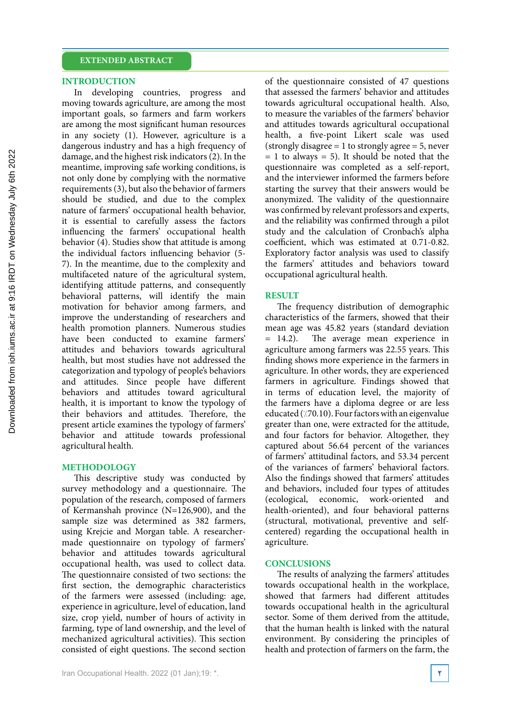#### **EXTENDED ABSTRACT**

#### **INTRODUCTION**

In developing countries, progress and moving towards agriculture, are among the most important goals, so farmers and farm workers are among the most significant human resources in any society (1). However, agriculture is a dangerous industry and has a high frequency of damage, and the highest risk indicators (2). In the meantime, improving safe working conditions, is not only done by complying with the normative requirements (3), but also the behavior of farmers should be studied, and due to the complex nature of farmers' occupational health behavior, it is essential to carefully assess the factors influencing the farmers' occupational health behavior (4). Studies show that attitude is among the individual factors influencing behavior (5- 7). In the meantime, due to the complexity and multifaceted nature of the agricultural system, identifying attitude patterns, and consequently behavioral patterns, will identify the main motivation for behavior among farmers, and improve the understanding of researchers and health promotion planners. Numerous studies have been conducted to examine farmers' attitudes and behaviors towards agricultural health, but most studies have not addressed the categorization and typology of people's behaviors and attitudes. Since people have different behaviors and attitudes toward agricultural health, it is important to know the typology of their behaviors and attitudes. Therefore, the present article examines the typology of farmers' behavior and attitude towards professional agricultural health.

### **METHODOLOGY**

This descriptive study was conducted by survey methodology and a questionnaire. The population of the research, composed of farmers of Kermanshah province (N=126,900), and the sample size was determined as 382 farmers, using Krejcie and Morgan table. A researchermade questionnaire on typology of farmers' behavior and attitudes towards agricultural occupational health, was used to collect data. The questionnaire consisted of two sections: the first section, the demographic characteristics of the farmers were assessed (including: age, experience in agriculture, level of education, land size, crop yield, number of hours of activity in farming, type of land ownership, and the level of mechanized agricultural activities). This section consisted of eight questions. The second section of the questionnaire consisted of 47 questions that assessed the farmers' behavior and attitudes towards agricultural occupational health. Also, to measure the variables of the farmers' behavior and attitudes towards agricultural occupational health, a five-point Likert scale was used (strongly disagree  $= 1$  to strongly agree  $= 5$ , never  $= 1$  to always  $= 5$ ). It should be noted that the questionnaire was completed as a self-report, and the interviewer informed the farmers before starting the survey that their answers would be anonymized. The validity of the questionnaire was confirmed by relevant professors and experts, and the reliability was confirmed through a pilot study and the calculation of Cronbach's alpha coefficient, which was estimated at 0.71-0.82. Exploratory factor analysis was used to classify the farmers' attitudes and behaviors toward occupational agricultural health.

### **RESULT**

The frequency distribution of demographic characteristics of the farmers, showed that their mean age was 45.82 years (standard deviation = 14.2). The average mean experience in agriculture among farmers was 22.55 years. This finding shows more experience in the farmers in agriculture. In other words, they are experienced farmers in agriculture. Findings showed that in terms of education level, the majority of the farmers have a diploma degree or are less educated ( $/70.10$ ). Four factors with an eigenvalue greater than one, were extracted for the attitude, and four factors for behavior. Altogether, they captured about 56.64 percent of the variances of farmers' attitudinal factors, and 53.34 percent of the variances of farmers' behavioral factors. Also the findings showed that farmers' attitudes and behaviors, included four types of attitudes (ecological, economic, work-oriented and health-oriented), and four behavioral patterns (structural, motivational, preventive and selfcentered) regarding the occupational health in agriculture.

#### **CONCLUSIONS**

The results of analyzing the farmers' attitudes towards occupational health in the workplace, showed that farmers had different attitudes towards occupational health in the agricultural sector. Some of them derived from the attitude, that the human health is linked with the natural environment. By considering the principles of health and protection of farmers on the farm, the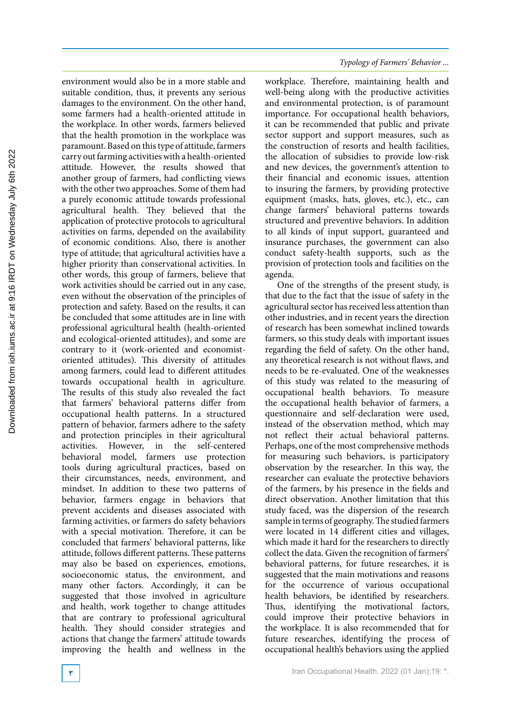environment would also be in a more stable and suitable condition, thus, it prevents any serious damages to the environment. On the other hand, some farmers had a health-oriented attitude in the workplace. In other words, farmers believed that the health promotion in the workplace was paramount. Based on this type of attitude, farmers carry out farming activities with a health-oriented attitude. However, the results showed that another group of farmers, had conflicting views with the other two approaches. Some of them had a purely economic attitude towards professional agricultural health. They believed that the application of protective protocols to agricultural activities on farms, depended on the availability of economic conditions. Also, there is another type of attitude; that agricultural activities have a higher priority than conservational activities. In other words, this group of farmers, believe that work activities should be carried out in any case, even without the observation of the principles of protection and safety. Based on the results, it can be concluded that some attitudes are in line with professional agricultural health (health-oriented and ecological-oriented attitudes), and some are contrary to it (work-oriented and economistoriented attitudes). This diversity of attitudes among farmers, could lead to different attitudes towards occupational health in agriculture. The results of this study also revealed the fact that farmers' behavioral patterns differ from occupational health patterns. In a structured pattern of behavior, farmers adhere to the safety and protection principles in their agricultural<br>activities. However, in the self-centered However, in the self-centered behavioral model, farmers use protection tools during agricultural practices, based on their circumstances, needs, environment, and mindset. In addition to these two patterns of behavior, farmers engage in behaviors that prevent accidents and diseases associated with farming activities, or farmers do safety behaviors with a special motivation. Therefore, it can be concluded that farmers' behavioral patterns, like attitude, follows different patterns. These patterns may also be based on experiences, emotions, socioeconomic status, the environment, and many other factors. Accordingly, it can be suggested that those involved in agriculture and health, work together to change attitudes that are contrary to professional agricultural health. They should consider strategies and actions that change the farmers' attitude towards improving the health and wellness in the

### *Typology of Farmers' Behavior ...*

workplace. Therefore, maintaining health and well-being along with the productive activities and environmental protection, is of paramount importance. For occupational health behaviors, it can be recommended that public and private sector support and support measures, such as the construction of resorts and health facilities, the allocation of subsidies to provide low-risk and new devices, the government's attention to their financial and economic issues, attention to insuring the farmers, by providing protective equipment (masks, hats, gloves, etc.), etc., can change farmers' behavioral patterns towards structured and preventive behaviors. In addition to all kinds of input support, guaranteed and insurance purchases, the government can also conduct safety-health supports, such as the provision of protection tools and facilities on the agenda.

One of the strengths of the present study, is that due to the fact that the issue of safety in the agricultural sector has received less attention than other industries, and in recent years the direction of research has been somewhat inclined towards farmers, so this study deals with important issues regarding the field of safety. On the other hand, any theoretical research is not without flaws, and needs to be re-evaluated. One of the weaknesses of this study was related to the measuring of occupational health behaviors. To measure the occupational health behavior of farmers, a questionnaire and self-declaration were used, instead of the observation method, which may not reflect their actual behavioral patterns. Perhaps, one of the most comprehensive methods for measuring such behaviors, is participatory observation by the researcher. In this way, the researcher can evaluate the protective behaviors of the farmers, by his presence in the fields and direct observation. Another limitation that this study faced, was the dispersion of the research sample in terms of geography. The studied farmers were located in 14 different cities and villages, which made it hard for the researchers to directly collect the data. Given the recognition of farmers' behavioral patterns, for future researches, it is suggested that the main motivations and reasons for the occurrence of various occupational health behaviors, be identified by researchers. Thus, identifying the motivational factors, could improve their protective behaviors in the workplace. It is also recommended that for future researches, identifying the process of occupational health's behaviors using the applied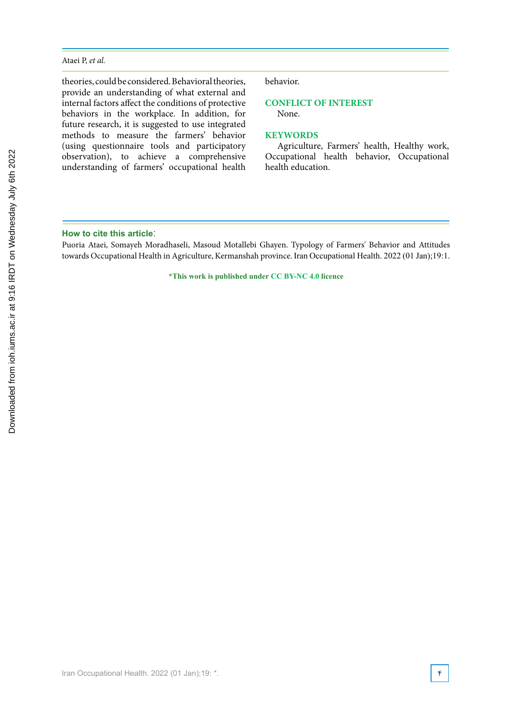#### Ataei P, *et al.*

theories, could be considered. Behavioral theories, provide an understanding of what external and internal factors affect the conditions of protective behaviors in the workplace. In addition, for future research, it is suggested to use integrated methods to measure the farmers' behavior (using questionnaire tools and participatory observation), to achieve a comprehensive understanding of farmers' occupational health behavior.

# **CONFLICT OF INTEREST**

None.

#### **KEYWORDS**

Agriculture, Farmers' health, Healthy work, Occupational health behavior, Occupational health education.

#### **How to cite this article**:

Puoria Ataei, Somayeh Moradhaseli, Masoud Motallebi Ghayen. Typology of Farmers' Behavior and Attitudes towards Occupational Health in Agriculture, Kermanshah province. Iran Occupational Health. 2022 (01 Jan);19:1.

**\*This work is published under CC BY-NC 4.0 licence**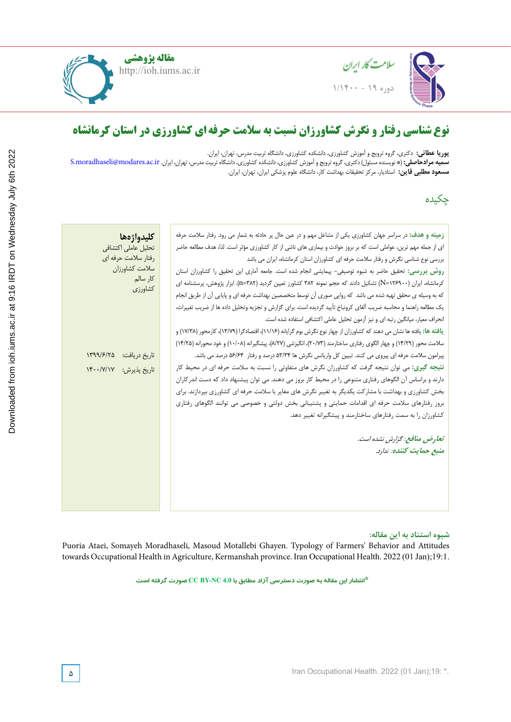

**مقاله پژوهشی** http://ioh.iums.ac.ir



**Rostam Golmohammadi,** (\*Corresponding author), Professor, Department of Occupational Health, School of Health and  $\mathbf{H}$ ealth Sciences  $\mathbf{H}$ **Zahra Pirmoradi,** MSc, Department of Occupational Hygiene, School of Health, Hamadan University of Medical Sciences, **پوریا عطائی:** دکتری، گروه ترویج و آموزش کشاورزی، دانشکده کشاورزی، دانشگاه تربیت مدرس، تهران، ایران.<br>**سمیه میلاحاصل**: (\* نویسنده مسئول ارکتیهی گروه ترویج و آموزش کشاورزی، دانشکده کشاورزی، دانشگاه ترین **Rose Goldmonding authority, Professor, Professor, Professor, Department of Occupation**  $\tilde{H}$ **Zahra Pirmoradi,** MSc, Department of Occupational Hygiene, School of Health, Hamadan University of Medical Sciences, **سمیه مرادحاصلی:** (\* نویسنده مسئول) دکتری، گروه ترویج و آموزش کشاورزی، دانشکده کشاورزی، دانشگاه تربیت مدرس، تهران، ایران. S.moradhaseli@modares.ac.ir **مسعود مطلبی قاین:** استادیار، مرکز تحقیقات بهداشت کار، دانشگاه علوم پزشکی ایران، تهران، ایران.

**Majid Motamedzadeh Torghabeh,** Professor, Department of Ergonomics, School of Health, Hamadan University of چکیده

| كليدواژهها              | زمینه و هدف: در سراسر جهان کشاورزی یکی از مشاغل مهم و در عین حال پر حادثه به شمار می رود. رفتار سلامت حرفه             |  |
|-------------------------|------------------------------------------------------------------------------------------------------------------------|--|
| تحليل عاملي اكتشافى     | ای از جمله مهم ترین، عواملی است که بر بروز حوادث و بیماری های ناشی از کار کشاورزی مؤثر است. لذا، هدف مطالعه حاضر       |  |
| رفتار سلامت حرفه ای     | بررسی نوع شناسی نگرش و رفتار سلامت حرفه ای کشاورزان استان کرمانشاه، ایران می باشد                                      |  |
| سلامت كشاورزان          | روش بررسی: تحقیق حاضر به شیوه توصیفی- پیمایشی انجام شده است. جامعه آماری این تحقیق را کشاورزان استان                   |  |
| کار سالم<br>كشاورزى     | کرمانشاه، ایران (N=۱۲۶۹۰۰) تشکیل دادند که حجم نمونه ۳۸۲ کشاورز تعیین گردید (n=۳۸۲). ابزار پژوهش، پرسشنامه ای           |  |
|                         | که به وسیله ی محقق تهیه شده می باشد که روایی صوری آن توسط متخصصین بهداشت حرفه ای و پایایی آن از طریق انجام             |  |
|                         | يک مطالعه راهنما و محاسبه ضريب آلفاي كرونباخ تأييد گرديده است. براي گزارش و تجزيه وتحليل داده ها از ضريب تغييرات،      |  |
|                         | انحراف معیار، میانگین رتبه ای و نیز آزمون تحلیل عاملی اکتشافی استفاده شده است.                                         |  |
|                         | یافته ها: یافته ها نشان می دهند که کشاورزان از چهار نوع نگرش بوم گرایانه (۱۱/۱۶)، اقتصادگرا (۱۳/۷۹)، کارمحور (۱۷/۳۸) و |  |
|                         | سلامت محور (١۴/٢٩) و چهار الگوی رفتاری ساختارمند (٢٠/٧٣)، انگیزشی (٨/٢٧)، پیشگیرانه (١٠/٠٨) و خود محورانه (١۴/٢۵)      |  |
| تاريخ دريافت: ١٣٩٩/۶/٢۵ | پیرامون سلامت حرفه ای پیروی می کنند. تبیین کل واریانس نگرش ها ۵۳/۳۴ درصد و رفتار ۵۶/۶۴ درصد می باشد.                   |  |
| تاريخ پذيرش: ١۴٠٠/٧/١٧  | <b>ن</b> تیجه گیری: می توان نتیجه گرفت که کشاورزان نگرش های متفاوتی را نسبت به سلامت حرفه ای در محیط کار               |  |
|                         | دارند و براساس آن الگوهای رفتاری متنوعی را در محیط کار بروز می دهند. می توان پیشنهاد داد که دست اندر کاران             |  |
|                         | بخش کشاورزی و بهداشت با مشارکت یکدیگر به تغییر نگرش های مغایر با سلامت حرفه ای کشاورزی بپردازند. برای                  |  |
|                         | بروز رفتارهای سلامت حرفه ای اقدامات حمایتی و پشتیبانی بخش دولتی و خصوصی می توانند الگوهای رفتاری                       |  |
|                         | کشاورزان را به سمت رفتارهای ساختارمند و پیشگیرانه تغییر دهد.                                                           |  |
|                         |                                                                                                                        |  |
|                         | تعارض منافع: گزارش نشده است.                                                                                           |  |
|                         | منبع حمايت كننده: ندارد.                                                                                               |  |
|                         |                                                                                                                        |  |
|                         |                                                                                                                        |  |
|                         |                                                                                                                        |  |
|                         |                                                                                                                        |  |
|                         |                                                                                                                        |  |

#### شیوه استناد به این مقاله: **Methods:** This cross-sectional study was conducted in 50 rooms and among 70

Puoria Ataei, Somayeh Moradhaseli, Masoud Motallebi Ghayen. Typology of Farmers' Behavior and Attitudes towards Occupational Health in Agriculture, Kermanshah province. Iran Occupational Health. 2022 (01 Jan);19:1.

**\*انتشار این مقاله به صورت دسترسی آزاد مطابق با 4.0 NC-BY CC صورت گرفته است**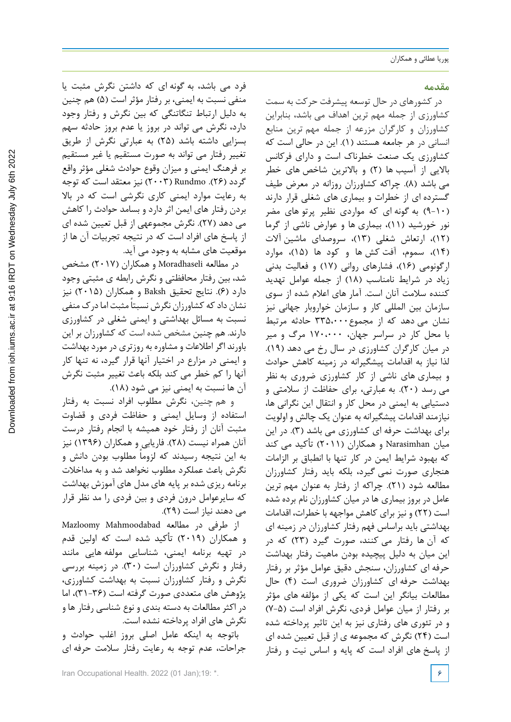## **مقدمه**

در کشورهای در حال توسعه پیشرفت حرکت به سمت کشاورزی از جمله مهم ترین اهداف می باشد، بنابراین کشاورزان و کارگران مزرعه از جمله مهم ترین منابع انسانی در هر جامعه هستند (۱). این در حالی است که کشاورزی یک صنعت خطرناک است و دارای فرکانس بالایی از آسیب ها (۲) و بالاترین شاخص های خطر می باشد )8(. چراکه کشاورزان روزانه در معرض طیف گسترده ای از خطرات و بیماری های شغلی قرار دارند )9-10( به گونه ای که مواردی نظیر پرتو های مضر نور خورشید )11(، بیماری ها و عوارض ناشی از گرما )12(، ارتعاش شغلی )13(، سروصدای ماشین آالت )14(، سموم، آفت کش ها و کود ها )15(، موارد ارگونومی )16(، فشارهای روانی )17( و فعالیت بدنی زیاد در شرایط نامناسب )18( از جمله عوامل تهدید کننده سالمت آنان است. آمار های اعالم شده از سوی سازمان بین المللی کار و سازمان خواروبار جهانی نیز نشان می دهد که از مجموع335،000 حادثه مرتبط با محل کار در سراسر جهان، 170،000 مرگ و میر در میان کارگران کشاورزی در سال رخ می دهد )19(. لذا نیاز به اقدامات پیشگیرانه در زمینه کاهش حوادث و بیماری های ناشی از کار کشاورزی ضروری به نظر می رسد )20(. به عبارتی، برای حفاظت از سالمتی و دستیابی به ایمنی در محل کار و انتقال این نگرانی ها، نیازمند اقدامات پیشگیرانه به عنوان یک چالش و اولویت برای بهداشت حرفه ای کشاورزی می باشد )3(. در این میان Narasimhan و همکاران )2011( تأکید می کند که بهبود شرایط ایمن در کار تنها با انطباق بر الزامات هنجاری صورت نمی گیرد، بلکه باید رفتار کشاورزان مطالعه شود )21(. چراکه از رفتار به عنوان مهم ترین عامل در بروز بیماری ها در میان کشاورزان نام برده شده است )22( و نیز برای کاهش مواجهه با خطرات، اقدامات بهداشتی باید براساس فهم رفتار کشاورزان در زمینه ای که آن ها رفتار می کنند، صورت گیرد )23( که در این میان به دلیل پیچیده بودن ماهیت رفتار بهداشت حرفه ای کشاورزان، سنجش دقیق عوامل مؤثر بر رفتار بهداشت حرفه ای کشاورزان ضروری است )4( حال مطالعات بیانگر این است که یکی از مؤلفه های مؤثر بر رفتار از میان عوامل فردی، نگرش افراد است (۵-۷) و در تئوری های رفتاری نیز به این تاثیر پرداخته شده است )24( نگرش که مجموعه ی از قبل تعيين شده اي از پاسخ های افراد است كه پایه و اساس نیت و رفتار

فرد می باشد، به گونه ای که داشتن نگرش مثبت یا منفی نسبت به ایمنی، بر رفتار مؤثر است (۵) هم چنین به دلیل ارتباط تنگاتنگی که بین نگرش و رفتار وجود دارد، نگرش می تواند در بروز یا عدم بروز حادثه سهم بسزایی داشته باشد )25( به عبارتی نگرش از طریق تغییر رفتار می تواند به صورت مستقیم یا غیر مستقیم بر فرهنگ ایمنی و میزان وقوع حوادث شغلی مؤثر واقع گردد )26(. Rundmo( 2003 )نیز معتقد است که توجه به رعایت موارد ایمنی کاري نگرشی است که در باال بردن رفتار هاي ایمن اثر دارد و بسامد حوادث را کاهش می دهد )27(. نگرش مجموعهی از قبل تعيين شده اي از پاسخ های افراد است كه در نتيجه تجربیات آن ها از موقعيت هاي مشابه به وجود مي آيد.

در مطالعه Moradhaseli و همکاران )2017( مشخص شد، بین رفتار محافظتی و نگرش رابطه ی مثبتی وجود دارد )6(. نتایج تحقیق Baksh و همکاران )2015( نیز نشان داد که کشاورزان نگرش نسبتاً مثبت اما درک منفی نسبت به مسائل بهداشتی و ایمنی شغلی در کشاورزی دارند. هم چنین مشخص شده است که کشاورزان بر این باورند اگر اطالعات و مشاوره به روزتری در مورد بهداشت و ایمنی در مزارع در اختیار آنها قرار گیرد، نه تنها کار آنها را کم خطر می کند بلکه باعث تغییر مثبت نگرش آن ها نسبت به ایمنی نیز می شود (۱۸).

 و هم چنین، نگرش مطلوب افراد نسبت به رفتار استفاده از وسايل ايمني و حفاظت فردي و قضاوت مثبت آنان از رفتار خود هميشه با انجام رفتار درست آنان همراه نيست )28(. فاریابی و همکاران )1396( نیز به این نتیجه رسیدند که لزوماً مطلوب بودن دانش و نگرش باعث عملكرد مطلوب نخواهد شد و به مداخالت برنامه ريزي شده بر پايه های مدل های آموزش بهداشت كه سايرعوامل درون فردی و بين فردي را مد نظر قرار مي دهند نياز است )29(.

از طرفی در مطالعه Mahmoodabad Mazloomy و همکاران )2019( تأکید شده است که اولین قدم در تهیه برنامه ایمنی، شناسایی مولفه هایی مانند رفتار و نگرش کشاورزان است )30(. در زمینه بررسی نگرش و رفتار کشاورزان نسبت به بهداشت کشاورزی، پژوهش های متعددی صورت گرفته است (۳۶-۳۱)، اما در اکثر مطالعات به دسته بندی و نوع شناسی رفتار ها و نگرش های افراد پرداخته نشده است.

باتوجه به اینکه عامل اصلي بروز اغلب حوادث و جراحات، عدم توجه به رعایت رفتار سالمت حرفه ای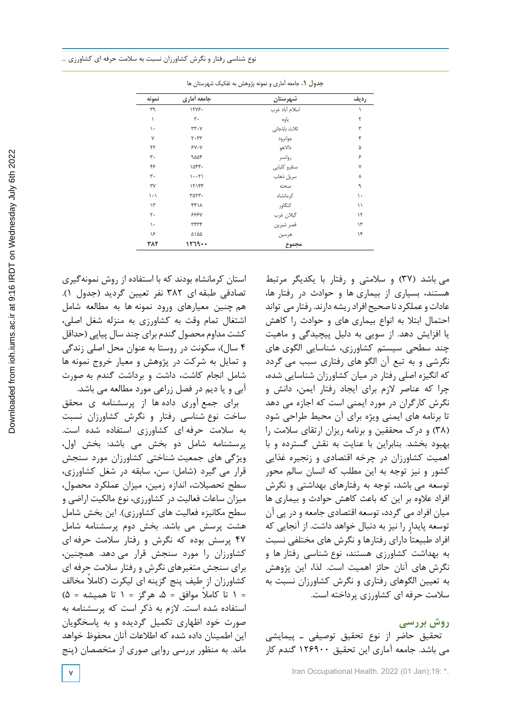| نمونه                         | جامعه أماري       | شهرستان        | رديف          |  |
|-------------------------------|-------------------|----------------|---------------|--|
| ٣٩                            | 1245.             | اسلام أباد غرب |               |  |
| $\lambda$                     | ٣٠                | ياوه           | ٢             |  |
| ١.                            | $rr \cdot \gamma$ | ثلاث باباجانى  | ٣             |  |
| γ                             | $Y - YY$          | جوانرود        | ۴             |  |
| $\mathbf{Y}$                  | $Y - Y$           | دالاهو         | ۵             |  |
| ٣.                            | 9004              | روانسر         | ۶             |  |
| ۴۶                            | ١۵۴۴.             | سنقرو كليايي   | Y             |  |
| ٣.                            | $1 - 5$           | سرپل ذهاب      | γ             |  |
| ٣٧                            | ۱۲۱۴۴             | صحنه           | ٩             |  |
| $\backslash \cdot \backslash$ | ٣۵٢٣٠             | كرمانشاه       | ١.            |  |
| $\gamma$                      | ۴۴۱۸              | كنگاور         | $\setminus$   |  |
| ٢٠                            | <b>۶۶۶</b> ۷      | گيلان غرب      | $\mathcal{N}$ |  |
| $\mathcal{L}$                 | ٣۴٣۴              | قصر شيرين      | $\gamma$ ۳    |  |
| ۱۶                            | ۵۱۵۵              | هرسين          | ۱۴            |  |
| ۳۸۲                           | 11779             | مجموع          |               |  |

جدول .1 جامعه آماری و نمونه پژوهش به تفکیک شهرستانها **جدول .1** جامعه آماری و نمونه پژوهش به تفکیک شهرستان ها

استان کرمانشاه بودند که با استفاده از روش نمونهگیری تصادفی طبقه ای 382 نفر تعیین گردید )جدول 1(. هم چنین معيارهاي ورود نمونه ها به مطالعه شامل اشتغال تمام وقت به کشاورزي به منزله شغل اصلي، کشت مداوم محصول گندم براي چند سال پياپي )حداقل 4 سال(، سکونت در روستا به عنوان محل اصلي زندگي و تمايل به شرکت در پژوهش و معيار خروج نمونه ها شامل انجام کاشت، داشت و برداشت گندم به صورت آبي و يا ديم در فصل زراعی مورد مطالعه می باشد.

براي جمع آوری داده ها از پرسشنامه ی محقق ساخت نوع شناسی رفتار و نگرش کشاورزان نسبت به سالمت حرفه ای کشاورزی استفاده شده است. پرسشنامه شامل دو بخش می باشد: بخش اول، ویژگی های جمعیت شناختی کشاورزان مورد سنجش قرار می گیرد )شامل: سن، سابقه در شغل کشاورزی، سطح تحصیالت، اندازه زمین، میزان عملکرد محصول، میزان ساعات فعالیت در کشاورزی، نوع مالکیت اراضی و سطح مکانیزه فعالیت های کشاورزی). این بخش شامل هشت پرسش می باشد. بخش دوم پرسشنامه شامل 47 پرسش بوده که نگرش و رفتار سالمت حرفه ای کشاورزان را مورد سنجش قرار می دهد. همچنین، برای سنجش متغیرهای نگرش و رفتار سالمت حرفه ای کشاورزان از طیف پنج گزینه ای لیکرت (کاملا مخالف  $(\Delta = 1 - \Delta)$  تا کاملا موافق =  $\Delta$ ، هرگز = ۱ تا همیشه = 5 استفاده شده است. الزم به ذکر است که پرسشنامه به صورت خود اظهاری تکمیل گردیده و به پاسخگویان این اطمینان داده شده که اطالعات آنان محفوظ خواهد ماند. به منظور بررسی روایی صوری از متخصصان )پنج

می باشد )37( و سالمتی و رفتار با یکدیگر مرتبط هستند، بسیاری از بیماری ها و حوادث در رفتار ها، عادات و عملکرد نا صحیح افراد ریشه دارند. رفتار می تواند احتمال ابتال به انواع بیماری های و حوادث را کاهش یا افزایش دهد. از سویی به دلیل پیچیدگی و ماهیت چند سطحی سیستم کشاورزی، شناسایی الگوی های نگرشی و به تبع آن الگو های رفتاری سبب می گردد که انگیزه اصلی رفتار در میان کشاورزان شناسایی شده، چرا که عناصر الزم برای ایجاد رفتار ایمن، دانش و نگرش کارگران در مورد ایمنی است که اجازه می دهد تا برنامه های ایمنی ویژه برای آن محیط طراحی شود )38( و درک محققین و برنامه ریزان ارتقای سالمت را بهبود بخشد. بنابراین با عنایت به نقش گسترده و با اهمیت کشاورزان در چرخه اقتصادی و زنجیره غذایی کشور و نیز توجه به این مطلب که انسان سالم محور توسعه می باشد، توجه به رفتارهای بهداشتی و نگرش افراد عالوه بر این که باعث کاهش حوادث و بیماری ها میان افراد می گردد، توسعه اقتصادی جامعه و در پی آن توسعه پایدار را نیز به دنبال خواهد داشت. از آنجایی که ً دارای رفتارها و نگرش های مختلفی نسبت افراد طبیعتا به بهداشت کشاورزی هستند، نوع شناسی رفتار ها و نگرش های آنان حائز اهمیت است. لذا، این پژوهش به تعیین الگوهای رفتاری و نگرش کشاورزان نسبت به سالمت حرفه ای کشاورزی پرداخته است.

**روش بررسی** تحقيق حاضر از نوع تحقيق توصيفي ـ پیمایشی می باشد. جامعه آماری این تحقیق 126900 گندم کار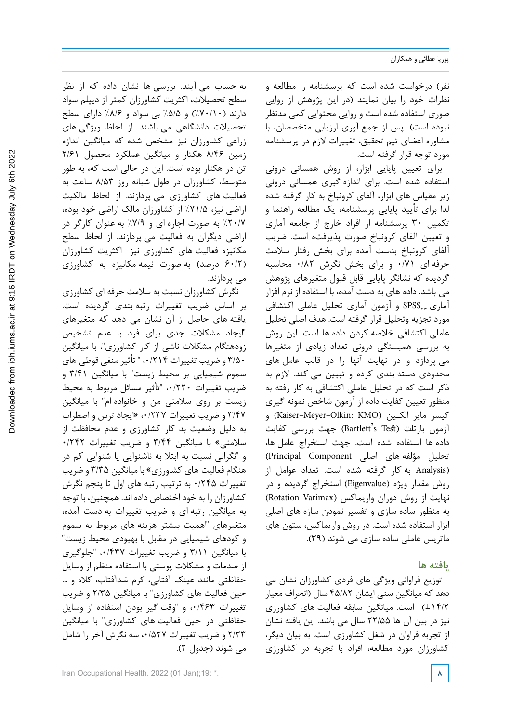نفر( درخواست شده است که پرسشنامه را مطالعه و نظرات خود را بیان نمایند )در این پژوهش از روایی صوری استفاده شده است و روایی محتوایی کمی مدنظر نبوده است). پس از جمع آوری ارزیابی متخصصان، با مشاوره اعضای تیم تحقیق، تغییرات الزم در پرسشنامه مورد توجه قرار گرفته است.

براي تعيين پايايي ابزار، از روش همساني دروني استفاده شده است. براي اندازه گيري همساني درونی زير مقياس هاي ابزار، آلفاي كرونباخ به کار گرفته شده لذا براي تأیید پايايي پرسشنامه، يك مطالعه راهنما و تکمیل 30 پرسشنامه از افراد خارج از جامعه آماری و تعیین آلفای کرونباخ صورت پذیرفته است. ضریب آلفای کرونباخ بدست آمده برای بخش رفتار سالمت حرفه ای 0/71 و برای بخش نگرش 0/82 محاسبه گردیده که نشانگر پایایی قابل قبول متغیرهای پژوهش می باشد. داده های به دست آمده، با استفاده از نرم افزار آماری 23SPSS و آزمون آماری تحلیل عاملی اکتشافی مورد تجزیه وتحلیل قرار گرفته است. هدف اصلی تحلیل عاملی اکتشافی خالصه کردن داده ها است. این روش به بررسی همبستگی درونی تعداد زیادی از متغیرها می پردازد و در نهایت آنها را در قالب عامل های محدودی دسته بندی کرده و تبیین می کند. الزم به ذکر است که در تحلیل عاملی اکتشافی به کار رفته به منظور تعيين كفايت داده از آزمون شاخص نمونه گيری كيسر ماير الكـين (Kaiser-Meyer-Olkin: KMO) و آزمون بارتلت )Te s'Bartlett )جهت بررسي كفايت داده ها استفاده شده است. جهت استخراج عامل ها، تحليل مؤلفه هاي اصلي Component Principal( (Analysis به کار گرفته شده است. تعداد عوامل از روش مقدار ويژه (Eigenvalue (استخراج گرديده و در نهایت از روش دوران واريماكس (Varimax Rotation( به منظور ساده سازي و تفسير نمودن سازه هاي اصلي ابزار استفاده شده است. در روش واریماکس، ستون های ماتریس عاملی ساده سازی می شوند )39(.

## **یافته ها**

توزیع فراوانی ویژگی های فردی کشاورزان نشان می دهد که میانگین سنی ایشان 45/82 سال )انحراف معیار ±14/2( است. میانگین سابقه فعالیت های کشاورزی نیز در بین آن ها 22/55 سال می باشد. این یافته نشان از تجربه فراوان در شغل کشاورزی است. به بیان دیگر، کشاورزان مورد مطالعه، افراد با تجربه در کشاورزی

به حساب می آیند. بررسی ها نشان داده که از نظر سطح تحصیالت، اکثریت کشاورزان کمتر از دیپلم سواد دارند )%70/10( و %5/5 بی سواد و %8/6 دارای سطح تحصیالت دانشگاهی می باشند. از لحاظ ویژگی های زراعی کشاورزان نیز مشخص شده که میانگین اندازه زمین 8/46 هکتار و میانگین عملکرد محصول 2/61 تن در هکتار بوده است. این در حالی است که، به طور متوسط، کشاورزان در طول شبانه روز 8/53 ساعت به فعالیت های کشاورزی می پردازند. از لحاظ مالکیت اراضی نیز، %71/5 از کشاورزان مالک اراضی خود بوده، %20/7 به صورت اجاره ای و %7/9 به عنوان کارگر در اراضی دیگران به فعالیت می پردازند. از لحاظ سطح مکانیزه فعالیت های کشاورزی نیز اکثریت کشاورزان )60/2 درصد( به صورت نیمه مکانیزه به کشاورزی می پردازند.

نگرش کشاورزان نسبت به سالمت حرفه ای کشاورزی بر اساس ضریب تغییرات رتبه بندی گردیده است. یافته های حاصل از آن نشان می دهد که متغیرهای "ایجاد مشکالت جدی برای فرد با عدم تشخیص زودهنگام مشکالت ناشی از کار کشاورزی"، با میانگین 3/50 و ضریب تغییرات ،0/214 " تأثیر منفی قوطی های سموم شیمیایی بر محیط زیست" با میانگین 3/41 و ضریب تغییرات ،0/220 "تأثیر مسائل مربوط به محیط زیست بر روی سالمتی من و خانواده ام" با میانگین 3/47 و ضریب تغییرات ،0/237 »ايجاد ترس و اضطراب به دلیل وضعيت بد کار کشاورزی و عدم محافظت از سلامتی» با میانگین ۳/۴۴ و ضریب تغییرات ۰/۲۴۲ و "نگرانی نسبت به ابتال به ناشنوایی یا شنوایی کم در هنگام فعالیت های کشاورزی« با میانگین 3/35 و ضریب تغییرات 0/245 به ترتیب رتبه های اول تا پنجم نگرش کشاورزان را به خود اختصاص داده اند. همچنین، با توجه به میانگین رتبه ای و ضریب تغییرات به دست آمده، متغیرهای "اهمیت بیشتر هزینه های مربوط به سموم و کودهای شیمیایی در مقابل با بهبودی محیط زیست" با میانگین 3/11 و ضریب تغییرات ،0/437 "جلوگیری از صدمات و مشکالت پوستی با استفاده منظم از وسایل حفاظتی مانند عینک آفتابی، کرم ضدآفتاب، کاله و ... حین فعالیت های کشاورزی" با میانگین 2/35 و ضریب تغییرات ،0/463 و "وقت گیر بودن استفاده از وسایل حفاظتی در حین فعالیت های کشاورزی" با میانگین 2/33 و ضریب تغییرات ،0/527 سه نگرش آخر را شامل می شوند )جدول 2(.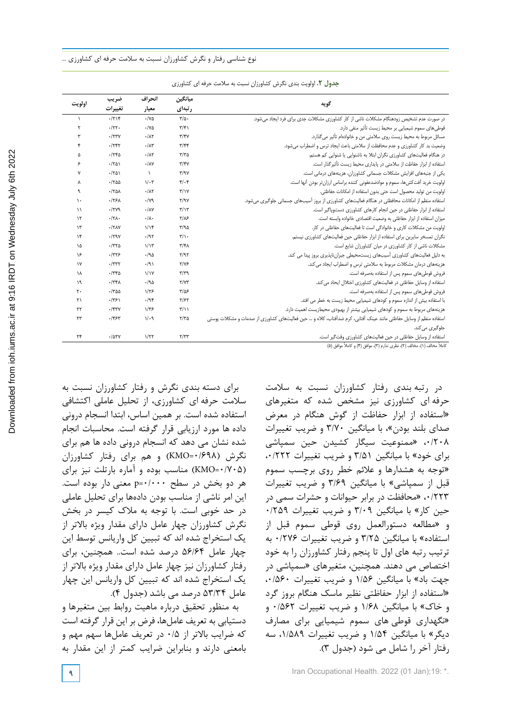|                        | ضريب                  | انحراف              | ميانگين                           |                                                                                                                     |
|------------------------|-----------------------|---------------------|-----------------------------------|---------------------------------------------------------------------------------------------------------------------|
| اولويت                 | تغييرات               | معيار               | رتبهای                            | گويه                                                                                                                |
| $\lambda$              | $-7714$               | $\cdot$ /YQ         | $\frac{1}{2}$                     | در صورت عدم تشخیص زودهنگام مشکلات ناشی از کار کشاورزی مشکلات جدی برای فرد ایجاد می شود.                             |
| ۲                      | .777.                 | $\cdot$ /YQ         | $\mathbf{r}/\mathbf{r}$           | قوطی های سموم شیمیایی بر محیط زیست تأثیر منفی دارد.                                                                 |
| ٣                      | $\cdot$ /٢٣٧          | $\cdot/\lambda\tau$ | $\mathbf{r}/\mathbf{r}$           | مسائل مربوط به محیط زیست روی سلامتی من و خانوادهام تأثیر می گذارد.                                                  |
| ۴                      | .755                  | $\cdot/\lambda$ ۳   | $\mathbf{r}/\mathbf{r}$           | وضعیت بد کار کشاورزی و عدم محافظت از سلامتی باعث ایجاد ترس و اضطراب میشود.                                          |
| ۵                      | $-750$                | $\cdot/\lambda\tau$ | $\tau/\tau$ ۵                     | در هنگام فعالیتهای کشاورزی نگران ابتلا به ناشنوایی یا شنوایی کم هستم.                                               |
| ۶                      | $-1501$               | $\cdot/\lambda V$   | $\mathbf{y}/\mathbf{y}$           | استفاده از ابزار حفاظت از سلامتی در پایداری محیط زیست تأثیرگذار است.                                                |
| Y                      | $-1501$               | $\lambda$           | $\mathbf{r}/\mathbf{a}\mathbf{v}$ | یکی از جنبههای افزایش مشکلات جسمانی کشاورزان، هزینههای درمانی است.                                                  |
| Υ                      | .1700                 | $1/\cdot 7$         | $Y/\cdot Y$                       | اولویت خرید آفت کش ها، سموم و موادضدعفونی کننده براساس ارزان تر بودن آنها است.                                      |
| ٩                      | $-170A$               | $\cdot/\lambda\tau$ | $\mathbf{r}/\mathbf{v}$           | اولويت من توليد محصول است حتى بدون استفاده از امكانات حفاظتى.                                                       |
| ١.                     | .175A                 | $\cdot/\gamma$ ٩    | Y/9V                              | استفاده منظم از امکانات محافظتی در هنگام فعالیتهای کشاورزی از بروز آسیبهای جسمانی جلوگیری میشود.                    |
| $\setminus$            | .1749                 | $\cdot/\lambda$ Y   | $\mathbf{r}/\mathbf{v}$           | استفاده از ابزار حفاظتی در حین انجام کارهای کشاورزی دستوپاگیر است.                                                  |
| $\mathcal{N}$          | $\cdot$ /٢ $\Lambda$  | $\cdot/\lambda$ .   | $Y/\lambda$ ۶                     | میزان استفاده از ابزار حفاظتی به وضعیت اقتصادی خانواده وابسته است.                                                  |
| $\mathcal{N}$          | $\cdot$ /٢ $\Lambda$  | 1/15                | $\Gamma/90$                       | اولویت من مشکلات کاری و خانوادگی است تا فعالیتهای حفاظتی در کار.                                                    |
| $\lambda$              | .79V                  | .797                | $\mathbf{r}/\mathbf{v}$ .         | نگران تمسخر سایرین برای استفاده از ابزار حفاظتی حین فعالیتهای کشاورزی نیستم.                                        |
| ۱۵                     | $\cdot$ /٣٢۵          | $1/\gamma$          | $\mathbf{r}/\mathbf{r}$           | مشکلات ناشی از کار کشاورزی در میان کشاورزان شایع است.                                                               |
| ۱۶                     | .7775                 | .190                | Y/9Y                              | به دلیل فعالیتهای کشاورزی آسیبهای زیستمحیطی جبران ناپذیری بروز پیدا می کند.                                         |
| $\mathsf{v}$           | $\cdot$ /٣٣٢          | $\cdot$ /9)         | $Y/Y$ ۶                           | هزینههای درمان مشکلات مربوط به سلامتی ترس و اضطراب ایجاد می کند.                                                    |
| ١٨                     | $-778$                | $\frac{1}{1}$       | $\mathbf{r}/\mathbf{r}$ 9         | فروش قوطیهای سموم پس از استفاده بهصرفه است.                                                                         |
| ١٩                     | $\cdot$ /٣۴ $\Lambda$ | .190                | Y/YY                              | استفاده از وسایل حفاظتی در فعالیتهای کشاورزی اختلال ایحاد می کند.                                                   |
| $\mathsf{r}$ .         | $\cdot$ /٣۵۵          | $1/\tau$ ۶          | $\frac{8}{2}$                     | فروش قوطیهای سموم پس از استفاده بهصرفه است.                                                                         |
| $\mathsf{r}\setminus$  | .7751                 | .798                | ۲/۶۲                              | با استفاده بیش از اندازه سموم و کودهای شیمیایی محیط زیست به خطر می افتد.                                            |
| $\mathsf{Y}\mathsf{Y}$ | $.$ /۴۳ $V$           | $1/\tau$ ۶          | $\mathbf{r}/\mathbf{v}$           | هزینههای مربوط به سموم و کودهای شیمیایی بیشتر از بهبودی محیطزیست اهمیت دارد.                                        |
| ۲۳                     | .195                  | 1/29                | $Y/Y$ ۵                           | استفاده منظم از وسایل حفاظتی مانند عینک آفتابی، کرم ضدآفتاب، کلاه و … حین فعالیتهای کشاورزی از صدمات و مشکلات پوستی |
|                        |                       |                     |                                   | جلوگیری می کند.                                                                                                     |
| ٢۴                     | $-105Y$               | 1/T                 | Y/YY                              | استفاده از وسایل حفاظتی در حین فعالیتهای کشاورزی وقتگیر است.                                                        |

جدول .2 اولویت بندی نگرش کشاورزان نسبت به سالمت حرفهای کشاورزی **جدول .2** اولویت بندی نگرش کشاورزان نسبت به سالمت حرفه ای کشاورزی

کاملاً مخالف (١)، مخالف (٢)، نظری ندارم (٣)، موافق (۴) و کاملاً موافق (۵)

برای دسته بندی نگرش و رفتار کشاورزان نسبت به سالمت حرفه ای کشاورزی، از تحلیل عاملی اکتشافی استفاده شده است. بر همین اساس، ابتدا انسجام درونی داده ها مورد ارزیابی قرار گرفته است. محاسبات انجام شده نشان می دهد که انسجام درونی داده ها هم برای نگرش )0/698=KMO )و هم برای رفتار کشاورزان )0/705=KMO )مناسب بوده و آماره بارتلت نیز برای هر دو بخش در سطح 0/000=p معنی دار بوده است. این امر ناشی از مناسب بودن دادهها برای تحلیل عاملی در حد خوبی است. با توجه به مالک کیسر در بخش نگرش کشاورزان چهار عامل دارای مقدار ویژه باالتر از یک استخراج شده اند که تبیین کل واریانس توسط این چهار عامل 56/64 درصد شده است.. همچنین، برای رفتار کشاورزان نیز چهار عامل دارای مقدار ویژه باالتر از یک استخراج شده اند که تبیین کل واریانس این چهار عامل 53/34 درصد می باشد )جدول 4(.

به منظور تحقيق درباره ماهيت روابط بين متغيرها و دستيابي به تعريف عاملها، فرض بر اين قرار گرفته است كه ضرايب بالاتر از ٠/٥ در تعريف عاملها سهم مهم و بامعني دارند و بنابراين ضرايب كمتر از اين مقدار به در رتبه بندی رفتار کشاورزان نسبت به سالمت حرفه ای کشاورزی نیز مشخص شده که متغیرهای »استفاده از ابزار حفاظت از گوش هنگام در معرض صدای بلند بودن«، با میانگین 3/70 و ضریب تغییرات ۰/۲۰۸ «ممنوعیت سیگار کشیدن حین سمپاشی برای خود« با میانگین 3/51 و ضریب تغییرات ،0/222 »توجه به هشدارها و عالئم خطر روی برچسب سموم قبل از سمپاشی« با میانگین 3/69 و ضریب تغییرات ۰/۲۲۳ »محافظت در برابر حیوانات و حشرات سمی در حین کار« با میانگین 3/09 و ضریب تغییرات 0/259 و »مطالعه دستورالعمل روی قوطی سموم قبل از استفاده» با میانگین ۳/۲۵ و ضریب تغییرات ۰/۲۷۶ به ترتیب رتبه های اول تا پنجم رفتار کشاورزان را به خود اختصاص می دهند. همچنین، متغیرهای »سمپاشی در جهت باد« با میانگین 1/56 و ضریب تغییرات ،0/560 »استفاده از ابزار حفاظتی نظیر ماسک هنگام بروز گرد و خاک« با میانگین 1/68 و ضریب تغییرات 0/562 و »نگهداری قوطی های سموم شیمیایی برای مصارف دیگر» با میانگین ۱/۵۴ و ضریب تغییرات ۱/۵۸۹، سه رفتار آخر را شامل می شود )جدول 3(.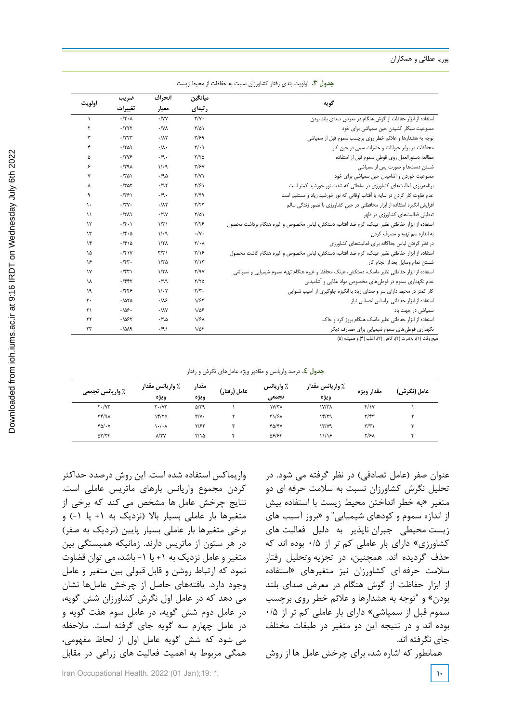#### پوریا عطائی و همکاران

| جدول ۰.۳ اولویت بندی رفتار کشاورزان نسبت به حفاظت از محیط زیست |  |  |  |  |
|----------------------------------------------------------------|--|--|--|--|

|               | ضريب                        | انحراف              | ميانگين                       | گويه                                                                                         |  |
|---------------|-----------------------------|---------------------|-------------------------------|----------------------------------------------------------------------------------------------|--|
| اولويت        | تغييرات                     | معيار               | رتبهای                        |                                                                                              |  |
| $\lambda$     | $\cdot$ /۲ $\cdot$          | $\cdot$ /YY         | $\Upsilon/\Upsilon$ .         | استفاده از ابزار حفاظت از گوش هنگام در معرض صدای بلند بودن                                   |  |
| ۲             | $-7777$                     | $\cdot$ /YA         | $T/\Delta$                    | ممنوعیت سیگار کشیدن حین سمیاشی برای خود                                                      |  |
| ٣             | $-777$                      | $\cdot/\lambda\tau$ | T/59                          | توجه به هشدارها و علائم خطر روی برچسب سموم قبل از سمپاشی                                     |  |
| ۴             | $-1709$                     | $\cdot/\lambda$     | $\mathbf{r}/\cdot \mathbf{q}$ | محافظت در برابر حیوانات و حشرات سمی در حین کار                                               |  |
| ۵             | .17Y5                       | .9.                 | $T/T\Delta$                   | مطالعه دستورالعمل روى قوطى سموم قبل از استفاده                                               |  |
| ۶             | .1791                       | 1/29                | $\tau$ / $\epsilon$           | شستن دستها و صورت پس از سمپاشی                                                               |  |
| ٧             | $\cdot$ /٣۵١                | ۱۹۵.                | Y/Y                           | ممنوعیت خوردن و أشامیدن حین سمپاشی برای خود                                                  |  |
| Υ             | $-1707$                     | .197                | $\frac{1}{2}$                 | برنامهریزی فعالیتهای کشاورزی در ساعاتی که شدت نور خورشید کمتر است                            |  |
| ٩             | .7751                       | .9.                 | Y/F9                          | عدم تفاوت کار کردن در سایه یا آفتاب اوقاتی که نور خورشید زیاد و مستقیم است                   |  |
| ١.            | $\cdot/\tau\gamma$ .        | $\cdot/\lambda\tau$ | Y/YY                          | افزایش انگیزه استفاده از ابزار محافظتی در حین کشاورزی با تصور زندگی سالم                     |  |
| $\lambda$     | .7719                       | .19V                | $\frac{1}{2}$                 | تعطیلی فعالیتهای کشاورزی در ظهر                                                              |  |
| $\lambda$     | $\cdot$ /۴ $\cdot$          | $\sqrt{r}$          | $\tau/\tau$ ۶                 | استفاده از ابزار حفاظتي نظير عينك، كرم ضد آفتاب، دستكش، لباس مخصوص و غيره هنگام برداشت محصول |  |
| $\mathcal{N}$ | $\cdot$ /۴ $\cdot$ $\Delta$ | 1/29                | $\cdot/\gamma$ .              | به اندازه سم تهیه و مصرف کردن                                                                |  |
| ۱۴            | $-1510$                     | 1/T <sub>A</sub>    | $\mathbf{r}/\cdot\mathbf{v}$  | در نظر گرفتن لباس جداگانه برای فعالیتهای کشاورزی                                             |  |
| ١۵            | $\cdot$ /۴۱۷                | $\tau/\tau$         | $\frac{1}{2}$                 | استفاده از ابزار حفاظتی نظیر عینک، کرم ضد آفتاب، دستکش، لباس مخصوص و غیره هنگام کاشت محصول   |  |
| ۱۶            | $\cdot$ /۴۳.                | $1/\tau \Delta$     | $\mathbf{r}/\mathbf{v}$       | شستن تمام وسايل بعد از انجام كار                                                             |  |
| $\gamma$      | $\cdot$ /۴۳)                | 1/T <sub>A</sub>    | Y/9V                          | استفاده از ابزار حفاظتی نظیر ماسک، دستکش، عینک محافظ و غیره هنگام تهیه سموم شیمیایی و سمپاشی |  |
| ١٨            | $.$ /۴۴۲                    | .199                | Y/YQ                          | عدم نگهداری سموم در قوطیهای مخصوص مواد غذایی و آشامیدنی                                      |  |
| ۱۹            | ۶۳۴۶.                       | $1/\cdot 7$         | $\tau/\tau$ .                 | کار کمتر در محیط دارای سر و صدای زیاد با انگیزه جلوگیری از آسیب شنوایی                       |  |
| ٢.            | .7080                       | .18                 | 1/5r                          | استفاده از ابزار حفاظتی براساس احساس نیاز                                                    |  |
| ٢١            | .109.                       | $\cdot/\lambda$ Y   | $1/\Delta$ ۶                  | سمپاش <i>ی</i> در جهت باد                                                                    |  |
| ٢٢            | .1057                       | ۱۹۵.                | $\sqrt{5}$                    | استفاده از ابزار حفاظتی نظیر ماسک هنگام بروز گرد و خاک                                       |  |
| ٢٣            | $-1019$                     | .791                | $1/\Delta f$                  | نگهداری قوطیهای سموم شیمیایی برای مصارف دیگر                                                 |  |
|               |                             |                     |                               | هیچ وقت (۱)، بەندرت (۲)، گاهی (۳)، اغلب (۴) و همیشه (۵)                                      |  |

جدول .4 درصد واریانس و مقادیر ویژه عامل های نگرش و رفتار **جدول .4** درصد واریانس و مقادیر ویژه عاملهای نگرش و رفتار

| ٪ واریانس تجمعی                          | ٪ واریانس مقدار<br>ويژه | مقدار<br>ويژه         | عامل (رفتار) | ٪ واریانس<br>تجمعي | ٪ واریانس مقدار<br>ويژه | مقدار ويژه              | عامل (نگرش)              |
|------------------------------------------|-------------------------|-----------------------|--------------|--------------------|-------------------------|-------------------------|--------------------------|
| $Y - YY'$                                | $Y \cdot / YY$          | $\Delta/\tau$ 9       |              | <b>۱۷/۳۸</b>       | ١٧/٣٨                   | f/Y                     |                          |
| $\mathsf{r}\mathsf{r}/\mathsf{q}\lambda$ | 15/70                   | $\Upsilon/\Upsilon$ . |              | ۳۱/۶۸              | ۱۴/۲۹                   | $\mathbf{r}/\mathbf{r}$ | $\overline{\phantom{a}}$ |
| $f_0/\cdot V$                            | ۰/۰۸\                   | Y/5Y                  |              | $f\Delta/fV$       | Y/YQ                    | $\mathbf{r}/\mathbf{r}$ | س                        |
| $\Delta \Upsilon / \Upsilon \Upsilon$    | <b>NYY</b>              | $\frac{1}{2}$         |              | 58/84              | 11/18                   | <b>٢/۶۸</b>             | ۰c                       |

واریماکس استفاده شده است. این روش درصدد حداکثر کردن مجموع واریانس بارهای ماتریس عاملی است. نتایج چرخش عامل ها مشخص می کند که برخی از متغیرها بار عاملی بسیار بالا (نزدیک به ۱+ یا ۱-) و برخی متغیرها بار عاملی بسیار پایین )نردیک به صفر( در هر ستون از ماتریس دارند. زمانیکه همبستگی بین متغیر و عامل نزدیک به +1 یا -1 باشد، می توان قضاوت نمود که ارتباط روشن و قابل قبولی بین متغیر و عامل وجود دارد. یافتههای حاصل از چرخش عاملها نشان می دهد که در عامل اول نگرش کشاورزان شش گویه، در عامل دوم شش گویه، در عامل سوم هفت گویه و در عامل چهارم سه گویه جای گرفته است. مالحظه می شود که شش گویه عامل اول از لحاظ مفهومی، همگی مربوط به اهمیت فعالیت های زراعی در مقابل

عنوان صفر (عامل تصادفي) در نظر گرفته می شود. در تحلیل نگرش کشاورزان نسبت به سالمت حرفه ای دو متغیر »به خطر انداختن محیط زیست با استفاده بیش از اندازه سموم و کودهای شیمیایی" و »بروز آسیب های زیست محیطی جبران ناپذیر به دلیل فعالیت های کشاورزی» دارای بار عاملی کم تر از ۰/۵ بوده اند که حذف گردیده اند. همچنین، در تجزیه وتحلیل رفتار سالمت حرفه ای کشاورزان نیز متغیرهای »استفاده از ابزار حفاظت از گوش هنگام در معرض صدای بلند بودن» و "توجه به هشدارها و علائم خطر روی برچسب سموم قبل از سمپاشی« دارای بار عاملی کم تر از 0/5 بوده اند و در نتیجه این دو متغیر در طبقات مختلف جای نگرفته اند.

همانطور که اشاره شد، برای چرخش عامل ها از روش

**Iran Occupational Health. 2022 (01 Jan);19: \*. 100 COVID-100 COVID-100 COVID-100 COVID-100**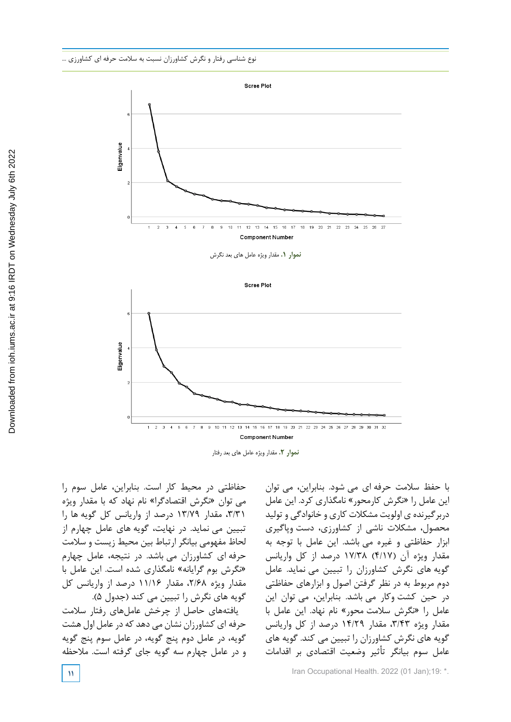

نموار .1 مقدار ويژه عاملهاي بعد نگرش **نموار .1** مقدار ویژه عامل های بعد نگرش



نموار .2 مقدار ويژه عاملهاي بعد رفتار **نموار .2** مقدار ویژه عامل های بعد رفتار

حفاظتی در محیط کار است. بنابراین، عامل سوم را می توان »نگرش اقتصادگرا« نام نهاد که با مقدار ویژه ،3/31 مقدار 13/79 درصد از واریانس کل گویه ها را تبیین می نماید. در نهایت، گویه های عامل چهارم از لحاظ مفهومی بيانگر ارتباط بین محیط زیست و سالمت حرفه ای کشاورزان می باشد. در نتیجه، عامل چهارم »نگرش بوم گرایانه« نامگذاری شده است. این عامل با مقدار ویژه ،2/68 مقدار 11/16 درصد از واریانس کل گویه های نگرش را تبیین می کند (جدول ۵).

یافتههای حاصل از چرخش عاملهای رفتار سالمت حرفه ای کشاورزان نشان می دهد که در عامل اول هشت گویه، در عامل دوم پنج گویه، در عامل سوم پنج گویه و در عامل چهارم سه گویه جای گرفته است. مالحظه

با حفظ سالمت حرفه ای می شود. بنابراین، می توان این عامل را »نگرش کارمحور« نامگذاری کرد. این عامل دربرگیرنده ی اولویت مشکالت کاری و خانوادگی و تولید محصول، مشکالت ناشی از کشاورزی، دست وپاگیری ابزار حفاظتی و غیره می باشد. این عامل با توجه به مقدار ویژه آن )4/17( 17/38 درصد از کل واریانس گویه های نگرش کشاورزان را تبیین می نماید. عامل دوم مربوط به در نظر گرفتن اصول و ابزارهای حفاظتی در حین کشت وکار می باشد. بنابراین، می توان این عامل را »نگرش سالمت محور« نام نهاد. این عامل با مقدار ویژه ،3/43 مقدار 14/29 درصد از کل واریانس گویه های نگرش کشاورزان را تبیین می کند. گویه های عامل سوم بیانگر تأثیر وضعیت اقتصادی بر اقدامات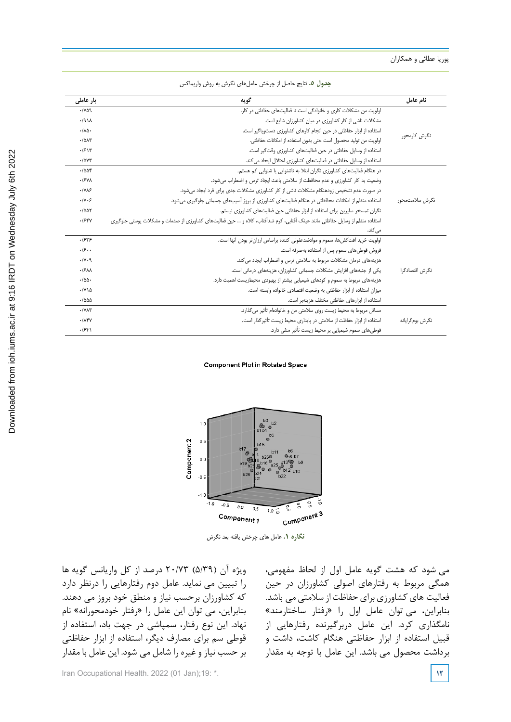| بار عاملی                        | گويه                                                                                                                        | نام عامل        |
|----------------------------------|-----------------------------------------------------------------------------------------------------------------------------|-----------------|
| $\cdot$ / $\vee$ $\circ$ $\circ$ | اولویت من مشکلات کاری و خانوادگی است تا فعالیتهای حفاظتی در کار.                                                            |                 |
| .411                             | مشکلات ناشی از کار کشاورزی در میان کشاورزان شایع است.                                                                       |                 |
| $\cdot/\lambda\Delta$            | استفاده از ابزار حفاظتی در حین انجام کارهای کشاورزی دستوپاگیر است.                                                          |                 |
| $-10AT$                          | اولويت من توليد محصول است حتى بدون استفاده از امكانات حفاظتي.                                                               | نگرش کارمحور    |
| .1518                            | استفاده از وسایل حفاظتی در حین فعالیتهای کشاورزی وقت گیر است.                                                               |                 |
| $\cdot$ / $\Delta$ Y۳            | استفاده از وسایل حفاظتی در فعالیتهای کشاورزی اختلال ایحاد می کند.                                                           |                 |
| .7008                            | در هنگام فعالیتهای کشاورزی نگران ابتلا به ناشنوایی یا شنوایی کم هستم.                                                       |                 |
| .15V <sub>A</sub>                | وضعیت بد کار کشاورزی و عدم محافظت از سلامتی باعث ایجاد ترس و اضطراب می شود.                                                 |                 |
| $\cdot$ / $\vee$ $\vee$          | در صورت عدم تشخیص زودهنگام مشکلات ناشی از کار کشاورزی مشکلات جدی برای فرد ایجاد می شود.                                     |                 |
| .11.5                            | استفاده منظم از امکانات محافظتی در هنگام فعالیتهای کشاورزی از بروز آسیبهای جسمانی جلوگیری می شود.                           | نگرش سلامتمحور  |
| $-1007$                          | نگران تمسخر سایرین برای استفاده از ابزار حفاظتی حین فعالیتهای کشاورزی نیستم.                                                |                 |
| .584                             | استفاده منظم از وسایل حفاظتی مانند عینک آفتابی، کرم ضدآفتاب، کلاه و … حین فعالیتهای کشاورزی از صدمات و مشکلات یوستی جلوگیری |                 |
|                                  | مے ,کند.                                                                                                                    |                 |
| .1545                            | اولويت خريد آفت كش ها، سموم و موادضدعفوني كننده براساس ارزان تر بودن آنها است.                                              |                 |
| .19.                             | فروش قوطی،های سموم پس از استفاده بهصرفه است.                                                                                |                 |
| .14                              | هزینههای درمان مشکلات مربوط به سلامتی ترس و اضطراب ایجاد می کند.                                                            |                 |
| .15AA                            | یکی از جنبههای افزایش مشکلات جسمانی کشاورزان، هزینههای درمانی است.                                                          | نگرش اقتصادگرا  |
| $\cdot$ /55.                     | هزینههای مربوط به سموم و کودهای شیمیایی بیشتر از بهبودی محیطزیست اهمیت دارد.                                                |                 |
| $\cdot$ /Y \ $\Delta$            | میزان استفاده از ابزار حفاظتی به وضعیت اقتصادی خانواده وابسته است.                                                          |                 |
| $-1000$                          | استفاده از ابزارهای حفاظتی مختلف هزینهبر است.                                                                               |                 |
| $\cdot$ / $\vee$ $\wedge$ $\vee$ | مسائل مربوط به محیط زیست روی سلامتی من و خانوادهام تأثیر می گذارد.                                                          |                 |
| $\cdot$ / $\Lambda$ ۴۷           | استفاده از ابزار حفاظت از سلامتی در پایداری محیط زیست تأثیر گذار است.                                                       | نگرش بومگرایانه |
| .559                             | قوطیهای سموم شیمیایی بر محیط زیست تأثیر منفی دارد.                                                                          |                 |

جدول .5 نتایج حاصل از چرخش عامل های نگرش به روش واریماکس **جدول .5** نتایج حاصل از چرخش عاملهای نگرش به روش واریماکس

#### **Component Plot in Rotated Space**



**نگاره .1** عامل های چرخش یافته بعد نگرش

ویژه آن )5/39( 20/73 درصد از کل واریانس گویه ها را تبیین می نماید. عامل دوم رفتارهایی را درنظر دارد که کشاورزان برحسب نیاز و منطق خود بروز می دهند. بنابراین، می توان این عامل را »رفتار خودمحورانه« نام نهاد. این نوع رفتار، سمپاشی در جهت باد، استفاده از قوطی سم برای مصارف دیگر، استفاده از ابزار حفاظتی بر حسب نیاز و غیره را شامل می شود. این عامل با مقدار ۱۰٬ درصد از آن واریانس تویه ها

می شود که هشت گویه عامل اول از لحاظ مفهومی، همگی مربوط به رفتارهای اصولی کشاورزان در حین فعالیت های کشاورزی برای حفاظت از سالمتی می باشد. بنابراین، می توان عامل اول را »رفتار ساختارمند« نامگذاری کرد. این عامل دربرگیرنده رفتارهایی از قبیل استفاده از ابزار حفاظتی هنگام کاشت، داشت و برداشت محصول می باشد. این عامل با توجه به مقدار نگاره .1 عاملهاي چرخشيافته بعد نگرش

Iran Occupational Health. 2022 (01 Jan);19: \*. **12**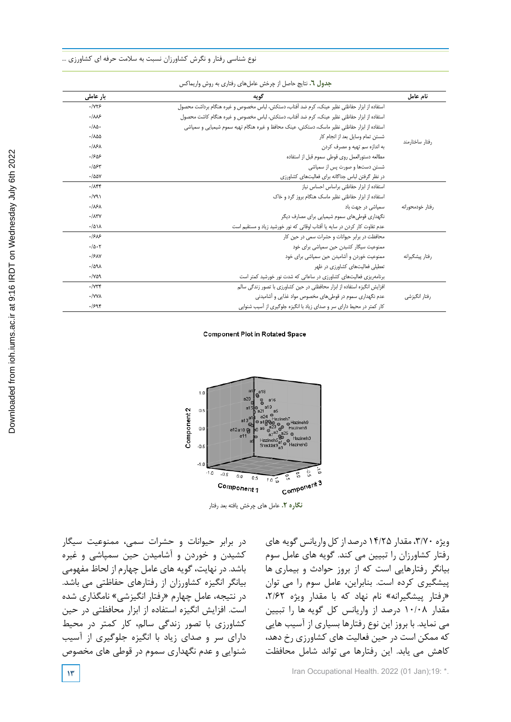|                  | جندوں ، ، تنایج حاصل از چرخس عامل۱نی زفتاری به روس واریمانس                                  |                            |
|------------------|----------------------------------------------------------------------------------------------|----------------------------|
| نام عامل         | گويه                                                                                         | بار عاملی                  |
|                  | استفاده از ابزار حفاظتى نظير عينك، كرم ضد أفتاب، دستكش، لباس مخصوص و غيره هنگام برداشت محصول | .1YY5                      |
|                  | استفاده از ابزار حفاظتی نظیر عینک، کرم ضد آفتاب، دستکش، لباس مخصوص و غیره هنگام کاشت محصول   | $-1\lambda\lambda$ ۶       |
|                  | استفاده از ابزار حفاظتی نظیر ماسک، دستکش، عینک محافظ و غیره هنگام تهیه سموم شیمیایی و سمپاشی | $\cdot/\lambda\Delta$      |
|                  | شستن تمام وسایل بعد از انجام کار                                                             | $-100$                     |
| رفتار ساختارمند  | به اندازه سم تهیه و مصرف کردن                                                                | .18A                       |
|                  | مطالعه دستورالعمل روى قوطى سموم قبل از استفاده                                               | .1908                      |
|                  | شستن دستها و صورت پس از سمپاشی                                                               | $-1054$                    |
|                  | در نظر گرفتن لباس جداگانه برای فعالیتهای کشاورزی                                             | $-100Y$                    |
|                  | استفاده از ابزار حفاظتی براساس احساس نیاز                                                    | $-785$                     |
|                  | استفاده از ابزار حفاظتی نظیر ماسک هنگام بروز گرد و خاک                                       | $\cdot$ / $\gamma$ ۹)      |
| رفتار خودمحورانه | سمیاشی در جهت باد                                                                            | .18A                       |
|                  | نگهداری قوطیهای سموم شیمیایی برای مصارف دیگر                                                 | .115V                      |
|                  | عدم تفاوت کار کردن در سایه یا آفتاب اوقاتی که نور خورشید زیاد و مستقیم است                   | $-101A$                    |
|                  | محافظت در برابر حیوانات و حشرات سمی در حین کار                                               | .1515                      |
|                  | ممنوعیت سیگار کشیدن حین سمپاشی برای خود                                                      | $-10.7$                    |
| رفتار ييشگيرانه  | ممنوعیت خوردن و أشامیدن حین سمپاشی برای خود                                                  | .19AV                      |
|                  | تعطیلی فعالیتهای کشاورزی در ظهر                                                              | $-1091$                    |
|                  | برنامهریزی فعالیتهای کشاورزی در ساعاتی که شدت نور خورشید کمتر است                            | $-1409$                    |
|                  | افزایش انگیزه استفاده از ابزار محافظتی در حین کشاورزی با تصور زندگی سالم                     | $\cdot$ / $\vee \vee \vee$ |
| رفتار انگیزشی    | عدم نگهداری سموم در قوطیهای مخصوص مواد غذایی و آشامیدنی                                      | ·/YYA                      |
|                  | کار کمتر در محیط دارای سر و صدای زیاد با انگیزه جلوگیری از آسیب شنوایی                       | .1598                      |

جدول .6 نتایج حاصل از چرخش عامل های رفتاری به روش واریماکس **جدول .6** نتایج حاصل از چرخش عاملهای رفتاری به روش واریماکس

#### **Component Plot in Rotated Space**



**نگاره .2** عامل های چرخش یافته بعد رفتار

در برابر حیوانات و حشرات سمی، ممنوعیت سیگار کشیدن و خوردن و آشامیدن حین سمپاشی و غیره باشد. در نهایت، گویه های عامل چهارم از لحاظ مفهومی بيانگر انگیزه کشاورزان از رفتارهای حفاظتی می باشد. در نتیجه، عامل چهارم »رفتار انگیزشی« نامگذاری شده است. افزایش انگیزه استفاده از ابزار محافظتی در حین کشاورزی با تصور زندگی سالم، کار کمتر در محیط دارای سر و صدای زیاد با انگیزه جلوگیری از آسیب شنوایی و عدم نگهداری سموم در قوطی های مخصوص

ویژه ،3/70 مقدار 14/25 درصد از کل واریانس گویه های رفتار کشاورزان را تبیین می کند. گویه های عامل سوم بیانگر رفتارهایی است که از بروز حوادث و بیماری ها پیشگیری کرده است. بنابراین، عامل سوم را می توان »رفتار پیشگیرانه« نام نهاد که با مقدار ویژه ،2/62 مقدار 10/08 درصد از واریانس کل گویه ها را تبیین می نماید. با بروز این نوع رفتارها بسیاری از آسیب هایی که ممکن است در حین فعالیت های کشاورزی رخ دهد، کاهش می یابد. این رفتارها می تواند شامل محافظت

**17 IF 13 I 13 IFRD ITEL <b>ITEL 13 IFRD ITEL 13 ITEL 13 ITEL 13 ITEL 13 ITEL 14 ITEL 14 ITEL 14 ITEL 14 ITEL 14 ITEL 14 ITEL 14 ITEL 14 ITEL 14 ITEL 14 ITEL 14 ITEL 14 ITEL 14**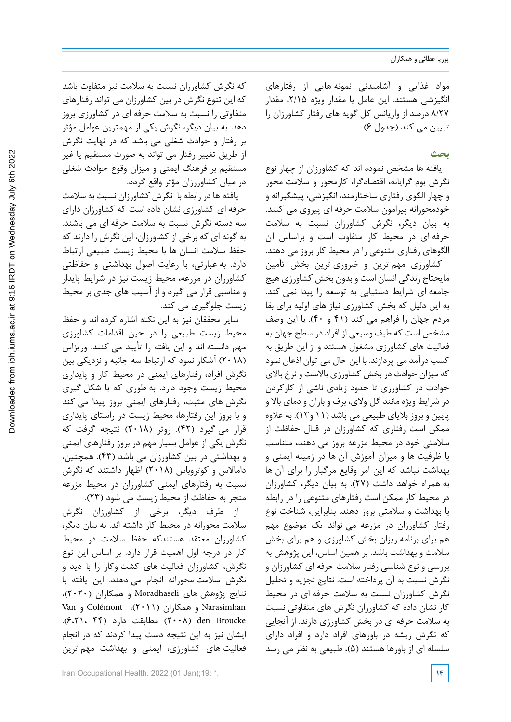مواد غذایی و آشامیدنی نمونه هایی از رفتارهای انگیزشی هستند. این عامل با مقدار ویژه ،2/15 مقدار 8/27 درصد از واریانس کل گویه های رفتار کشاورزان را تبیین می کند (جدول ۶).

# **بحث**

یافته ها مشخص نموده اند که کشاورزان از چهار نوع نگرش بوم گرایانه، اقتصادگرا، کارمحور و سالمت محور و چهار الگوی رفتاری ساختارمند، انگیزشی، پیشگیرانه و خودمحورانه پیرامون سالمت حرفه ای پیروی می کنند. به بیان دیگر، نگرش کشاورزان نسبت به سالمت حرفه ای در محیط کار متفاوت است و براساس آن الگوهای رفتاری متنوعی را در محیط کار بروز می دهند.

کشاورزی مهم ترین و ضروری ترین بخش تأمین مایحتاج زندگی انسان است و بدون بخش کشاورزی هیج جامعه ای شرایط دستیابی به توسعه را پیدا نمی کند. به این دلیل که بخش کشاورزی نیاز های اولیه برای بقا مردم جهان را فراهم می کند )41 و 40(. با این وصف مشخص است که طیف وسیعی از افراد در سطح جهان به فعالیت های کشاورزی مشغول هستند و از این طریق به کسب درآمد می پردازند. با این حال می توان اذعان نمود که میزان حوادث در بخش کشاورزی باالست و نرخ باالی حوادث در کشاورزی تا حدود زیادی ناشی از کارکردن در شرایط ویژه مانند گل والی، برف و باران و دمای باال و پایین و بروز بالیای طبیعی می باشد )11 و13(. به عالوه ممکن است رفتاری که کشاورزان در قبال حفاظت از سالمتی خود در محیط مزرعه بروز می دهند، متناسب با ظرفیت ها و میزان آموزش آن ها در زمینه ایمنی و بهداشت نباشد که این امر وقایع مرگبار را برای آن ها به همراه خواهد داشت )27(. به بیان دیگر، کشاورزان در محیط کار ممکن است رفتارهای متنوعی را در رابطه با بهداشت و سالمتی بروز دهند. بنابراین، شناخت نوع رفتار کشاورزان در مزرعه می تواند یک موضوع مهم هم برای برنامه ریزان بخش کشاورزی و هم برای بخش سالمت و بهداشت باشد. بر همین اساس، این پژوهش به بررسی و نوع شناسی رفتار سالمت حرفه ای کشاورزان و نگرش نسبت به آن پرداخته است. نتایج تجزیه و تحلیل نگرش کشاورزان نسبت به سالمت حرفه ای در محیط کار نشان داده که کشاورزان نگرش های متفاوتی نسبت به سالمت حرفه ای در بخش کشاورزی دارند. از آنجایی که نگرش ریشه در باورهای افراد دارد و افراد دارای سلسله ای از باورها هستند (۵)، طبیعی به نظر می رسد

که نگرش کشاورزان نسبت به سالمت نیز متفاوت باشد که این تنوع نگرش در بین کشاورزان می تواند رفتارهای متفاوتی را نسبت به سالمت حرفه ای در کشاورزی بروز دهد. به بیان دیگر، نگرش یکی از مهمترین عوامل مؤثر بر رفتار و حوادث شغلی می باشد که در نهایت نگرش از طریق تغییر رفتار می تواند به صورت مستقیم یا غیر مستقیم بر فرهنگ ایمنی و میزان وقوع حوادث شغلی در میان کشاوررزان مؤثر واقع گردد.

یافته ها در رابطه با نگرش کشاورزان نسبت به سالمت حرفه ای کشاورزی نشان داده است که کشاورزان دارای سه دسته نگرش نسبت به سالمت حرفه ای می باشند. به گونه ای که برخی از کشاورزان، این نگرش را دارند که حفظ سالمت انسان ها با محیط زیست طبیعی ارتباط دارد. به عبارتی، با رعایت اصول بهداشتی و حفاظتی کشاورزان در مزرعه، محیط زیست نیز در شرایط پایدار و مناسبی قرار می گیرد و از آسیب های جدی بر محیط زیست جلوگیری می کند.

سایر محققان نیز به این نکته اشاره کرده اند و حفظ محیط زیست طبیعی را در حین اقدامات کشاورزی مهم دانسته اند و این یافته را تأیید می کنند. وریزاس )2018( آشکار نمود که ارتباط سه جانبه و نزدیکی بین نگرش افراد، رفتارهای ایمنی در محیط کار و پایداری محیط زیست وجود دارد. به طوری که با شکل گیری نگرش های مثبت، رفتارهای ایمنی بروز پیدا می کند و با بروز این رفتارها، محیط زیست در راستای پایداری قرار می گیرد (۴۲). روتر (۲۰۱۸) نتیجه گرفت که نگرش یکی از عوامل بسیار مهم در بروز رفتارهای ایمنی و بهداشتی در بین کشاورزان می باشد )43(. همچنین، داماالس و کوتروباس )2018( اظهار داشتند که نگرش نسبت به رفتارهای ایمنی کشاورزان در محیط مزرعه منجر به حفاظت از محیط زیست می شود )23(.

از طرف دیگر، برخی از کشاورزان نگرش سالمت محورانه در محیط کار داشته اند. به بیان دیگر، کشاورزان معتقد هستندکه حفظ سالمت در محیط کار در درجه اول اهمیت قرار دارد. بر اساس این نوع نگرش، کشاورزان فعالیت های کشت وکار را با دید و نگرش سالمت محورانه انجام می دهند. این یافته با نتایج پژوهش های Moradhaseli و همکاران )2020(، Narasimhan و همکاران )2011(، Colémont و Van Broucke den( 2008 )مطابقت دارد )44 6،21،(. ایشان نیز به این نتیجه دست پیدا کردند که در انجام فعالیت های کشاورزی، ایمنی و بهداشت مهم ترین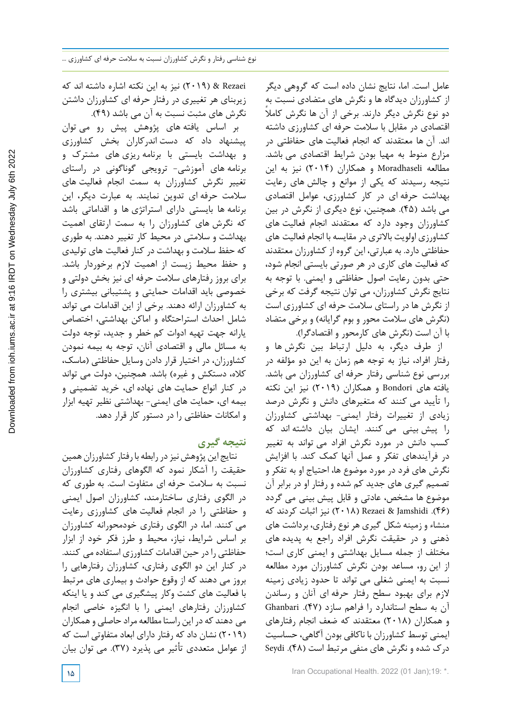عامل است. اما، نتایج نشان داده است که گروهی دیگر از کشاورزان دیدگاه ها و نگرش های متضادی نسبت به دو نوع نگرش دیگر دارند. برخی از آن ها نگرش کاملا اقتصادی در مقابل با سالمت حرفه ای کشاورزی داشته اند. آن ها معتقدند که انجام فعالیت های حفاظتی در مزارع منوط به مهیا بودن شرایط اقتصادی می باشد. مطالعه Moradhaseli و همکاران )2014( نیز به این نتیجه رسیدند که یکی از موانع و چالش های رعایت بهداشت حرفه ای در کار کشاورزی، عوامل اقتصادی می باشد )45(. همچنین، نوع دیگری از نگرش در بین کشاورزان وجود دارد که معتقدند انجام فعالیت های کشاورزی اولویت باالتری در مقایسه با انجام فعالیت های حفاظتی دارد. به عبارتی، این گروه از کشاورزان معتقدند که فعالیت های کاری در هر صورتی بایستی انجام شود، حتی بدون رعایت اصول حفاظتی و ایمنی. با توجه به نتایج نگرش کشاورزان، می توان نتیجه گرفت که برخی از نگرش ها در راستای سالمت حرفه ای کشاورزی است (نگرش های سلامت محور و بوم گرایانه) و برخی متضاد با آن است (نگرش های کارمحور و اقتصادگرا).

از طرف دیگر، به دلیل ارتباط بین نگرش ها و رفتار افراد، نیاز به توجه هم زمان به این دو مؤلفه در بررسی نوع شناسی رفتار حرفه ای کشاورزان می باشد. یافته های Bondori و همکاران )2019( نیز این نکته را تأیید می کنند که متغيرهاي دانش و نگرش درصد زیادی از تغييرات رفتار ايمني- بهداشتي کشاورزان را پيش بيني می کنند. ایشان بیان داشته اند که کسب دانش در مورد نگرش افراد می تواند به تغییر در فرآیندهاي تفکر و عمل آنها کمک کند. با افزایش نگرش هاي فرد در مورد موضوع ها، احتیاج او به تفکر و تصمیم گیري هاي جدید کم شده و رفتار او در برابر آن موضوع ها مشخص، عادتی و قابل پیش بینی می گردد )46(. Jamshidi & Rezaei( 2018 )نیز اثبات کردند که منشاء و زمينه شکل گيري هر نوع رفتاري، برداشت هاي ذهنی و در حقيقت نگرش افراد راجع به پديده هاي مختلف از جمله مسايل بهداشتی و ايمنی کاري است؛ از اين رو، مساعد بودن نگرش کشاورزان مورد مطالعه نسبت به ايمنی شغلی می تواند تا حدود زيادي زمينه الزم براي بهبود سطح رفتار حرفه ای آنان و رساندن آن به سطح استاندارد را فراهم سازد )47(. Ghanbari و همکاران )2018( معتقدند که ضعف انجام رفتارهاي ایمنی توسط کشاورزان با ناکافی بودن آگاهی، حساسیت درك شده و نگرش های منفی مرتبط است )48(. Seydi

Rezaei( & 2019 )نیز به این نکته اشاره داشته اند که زیربنای هر تغییری در رفتار حرفه ای کشاورزان داشتن نگرش های مثبت نسبت به آن می باشد )49(.

بر اساس یافته های پژوهش پیش رو می توان پیشنهاد داد که دست اندرکاران بخش کشاورزی و بهداشت بایستی با برنامه ریزی های مشترک و برنامه های آموزشی- ترویجی گوناگونی در راستای تغییر نگرش کشاورزان به سمت انجام فعالیت های سالمت حرفه ای تدوین نمایند. به عبارت دیگر، این برنامه ها بایستی دارای استراتژی ها و اقداماتی باشد که نگرش های کشاورزان را به سمت ارتقای اهمیت بهداشت و سالمتی در محیط کار تغییر دهند. به طوری که حفظ سالمت و بهداشت در کنار فعالیت های تولیدی و حفظ محیط زیست از اهمیت الزم برخوردار باشد. برای بروز رفتارهای سالمت حرفه ای نیز بخش دولتی و خصوصی باید اقدامات حمایتی و پشتیبانی بیشتری را به کشاورزان ارائه دهند. برخی از این اقدامات می تواند شامل احداث استراحتگاه و اماکن بهداشتی، اختصاص یارانه جهت تهیه ادوات کم خطر و جدید، توجه دولت به مسائل مالی و اقتصادی آنان، توجه به بیمه نمودن کشاورزان، در اختیار قرار دادن وسایل حفاظتی )ماسک، کلاه، دستکش و غیره) باشد. همچنین، دولت می تواند در کنار انواع حمایت های نهاده ای، خرید تضمینی و بیمه ای، حمایت های ایمنی- بهداشتی نظیر تهیه ابزار و امکانات حفاظتی را در دستور کار قرار دهد.

# **نتیجه گیری**

 نتایج این پژوهش نیز در رابطه با رفتار کشاورزان همین حقیقت را آشکار نمود که الگوهای رفتاری کشاورزان نسبت به سالمت حرفه ای متفاوت است. به طوری که در الگوی رفتاری ساختارمند، کشاورزان اصول ایمنی و حفاظتی را در انجام فعالیت های کشاورزی رعایت می کنند. اما، در الگوی رفتاری خودمحورانه کشاورزان بر اساس شرایط، نیاز، محیط و طرز فکر خود از ابزار حفاظتی را در حین اقدامات کشاورزی استفاده می کنند. در کنار این دو الگوی رفتاری، کشاورزان رفتارهایی را بروز می دهند که از وقوع حوادث و بیماری های مرتبط با فعالیت های کشت وکار پیشگیری می کند و یا اینکه کشاورزان رفتارهای ایمنی را با انگیزه خاصی انجام می دهند که در این راستا مطالعه مراد حاصلی و همکاران )2019( نشان داد که رفتار دارای ابعاد متفاوتی است که از عوامل متعددی تأثیر می پذیرد )37(. می توان بیان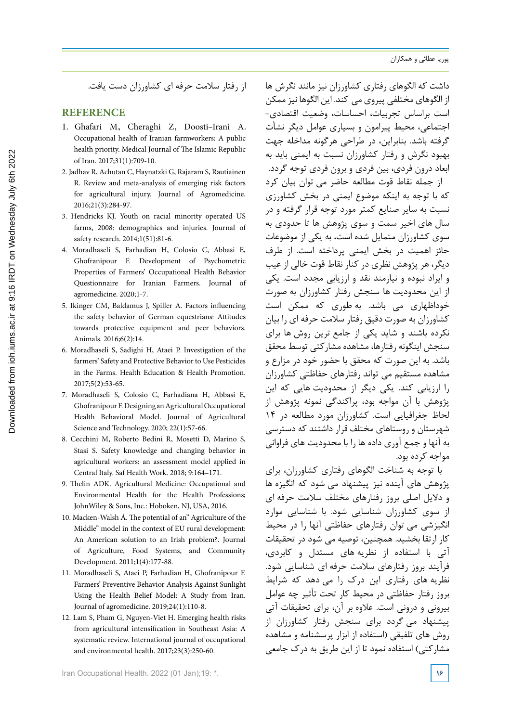از رفتار سالمت حرفه ای کشاورزان دست یافت.

# **REFERENCE**

- 1. Ghafari M, Cheraghi Z, Doosti-Irani A. Occupational health of Iranian farmworkers: A public health priority. Medical Journal of The Islamic Republic of Iran. 2017;31(1):709-10.
- 2. Jadhav R, Achutan C, Haynatzki G, Rajaram S, Rautiainen R. Review and meta-analysis of emerging risk factors for agricultural injury. Journal of Agromedicine. 2016;21(3):284-97.
- 3. Hendricks KJ. Youth on racial minority operated US farms, 2008: demographics and injuries. Journal of safety research. 2014;1(51):81-6.
- 4. Moradhaseli S, Farhadian H, Colosio C, Abbasi E, Ghofranipour F. Development of Psychometric Properties of Farmers' Occupational Health Behavior Questionnaire for Iranian Farmers. Journal of agromedicine. 2020;1-7.
- 5. Ikinger CM, Baldamus J, Spiller A. Factors influencing the safety behavior of German equestrians: Attitudes towards protective equipment and peer behaviors. Animals. 2016;6(2):14.
- 6. Moradhaseli S, Sadighi H, Ataei P. Investigation of the farmers' Safety and Protective Behavior to Use Pesticides in the Farms. Health Education & Health Promotion. 2017;5(2):53-65.
- 7. Moradhaseli S, Colosio C, Farhadiana H, Abbasi E, Ghofranipour F. Designing an Agricultural Occupational Health Behavioral Model. Journal of Agricultural Science and Technology. 2020; 22(1):57-66.
- 8. Cecchini M, Roberto Bedini R, Mosetti D, Marino S, Stasi S. Safety knowledge and changing behavior in agricultural workers: an assessment model applied in Central Italy. Saf Health Work. 2018; 9:164–171.
- 9. Thelin ADK. Agricultural Medicine: Occupational and Environmental Health for the Health Professions; JohnWiley & Sons, Inc.: Hoboken, NJ, USA, 2016.
- 10. Macken-Walsh Á. The potential of an" Agriculture of the Middle" model in the context of EU rural development: An American solution to an Irish problem?. Journal of Agriculture, Food Systems, and Community Development. 2011;1(4):177-88.
- 11. Moradhaseli S, Ataei P, Farhadian H, Ghofranipour F. Farmers' Preventive Behavior Analysis Against Sunlight Using the Health Belief Model: A Study from Iran. Journal of agromedicine. 2019;24(1):110-8.
- 12. Lam S, Pham G, Nguyen-Viet H. Emerging health risks from agricultural intensification in Southeast Asia: A systematic review. International journal of occupational and environmental health. 2017;23(3):250-60.

Iran Occupational Health. 2022 (01 Jan);19: \*. **16**

داشت که الگوهای رفتاری کشاورزان نیز مانند نگرش ها از الگوهای مختلفی پیروی می کند. این الگوها نیز ممکن است براساس تجربیات، احساسات، وضعیت اقتصادی- اجتماعی، محیط پیرامون و بسیاری عوامل دیگر نشأت گرفته باشد. بنابراین، در طراحی هرگونه مداخله جهت بهبود نگرش و رفتار کشاورزان نسبت به ایمنی باید به ابعاد درون فردی، بین فردی و برون فردی توجه گردد.

از جمله نقاط قوت مطالعه حاضر می توان بیان کرد که با توجه به اینکه موضوع ایمنی در بخش کشاورزی نسبت به سایر صنایع کمتر مورد توجه قرار گرفته و در سال های اخیر سمت و سوی پژوهش ها تا حدودی به سوی کشاورزان متمایل شده است، به یکی از موضوعات حائز اهمیت در بخش ایمنی پرداخته است. از طرف دیگر، هر پژوهش نظری در کنار نقاط قوت خالی از عیب و ایراد نبوده و نیازمند نقد و ارزیابی مجدد است. یکی از این محدودیت ها سنجش رفتار کشاورزان به صورت خوداظهاری می باشد. به طوری که ممکن است کشاورزان به صورت دقیق رفتار سالمت حرفه ای را بیان نکرده باشند و شاید یکی از جامع ترین روش ها برای سنجش اینگونه رفتارها، مشاهده مشارکتی توسط محقق باشد. به این صورت که محقق با حضور خود در مزارع و مشاهده مستقیم می تواند رفتارهای حفاظتی کشاورزان را ارزیابی کند. یکی دیگر از محدودیت هایی که این پژوهش با آن مواجه بود، پراکندگی نمونه پژوهش از لحاظ جغرافیایی است. کشاورزان مورد مطالعه در 14 شهرستان و روستاهای مختلف قرار داشتند که دسترسی به آنها و جمع آوری داده ها را با محدودیت های فراوانی مواجه کرده بود.

با توجه به شناخت الگوهای رفتاری کشاورزان، برای پژوهش های آینده نیز پیشنهاد می شود که انگیزه ها و دالیل اصلی بروز رفتارهای مختلف سالمت حرفه ای از سوی کشاورزان شناسایی شود. با شناسایی موارد انگیزشی می توان رفتارهای حفاظتی آنها را در محیط کار ارتقا بخشید. همچنین، توصیه می شود در تحقیقات آتی با استفاده از نظریه های مستدل و کابردی، فرآیند بروز رفتارهای سالمت حرفه ای شناسایی شود. نظریه های رفتاری این درک را می دهد که شرایط بروز رفتار حفاظتی در محیط کار تحت تأثیر چه عوامل بیرونی و درونی است. عالوه بر آن، برای تحقیقات آتی پیشنهاد می گردد برای سنجش رفتار کشاورزان از روش های تلفیقی )استفاده از ابزار پرسشنامه و مشاهده مشارکتی) استفاده نمود تا از این طریق به درک جامعی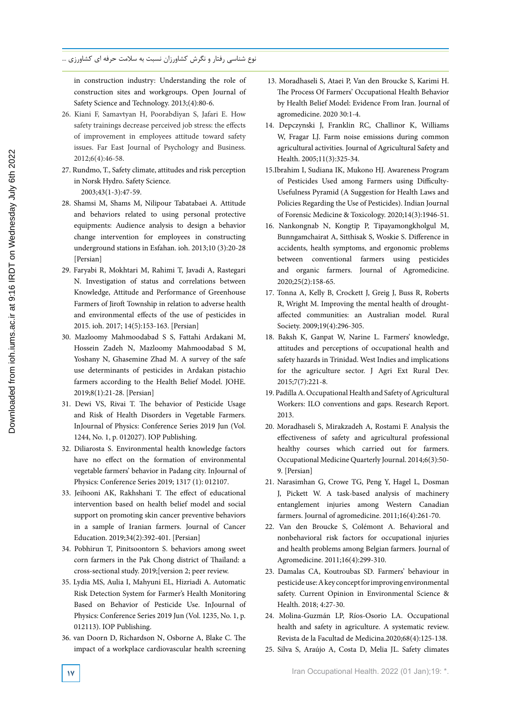in construction industry: Understanding the role of construction sites and workgroups. Open Journal of Safety Science and Technology. 2013;(4):80-6.

- 26. Kiani F, Samavtyan H, Poorabdiyan S, Jafari E. How safety trainings decrease perceived job stress: the effects of improvement in employees attitude toward safety issues. Far East Journal of Psychology and Business. 2012;6(4):46-58.
- 27. Rundmo, T., Safety climate, attitudes and risk perception in Norsk Hydro. Safety Science. 2003;43(1-3):47-59.
- 28. Shamsi M, Shams M, Nilipour Tabatabaei A. Attitude and behaviors related to using personal protective equipments: Audience analysis to design a behavior change intervention for employees in constructing underground stations in Esfahan. ioh. 2013;10 (3):20-28 [Persian]
- 29. Faryabi R, Mokhtari M, Rahimi T, Javadi A, Rastegari N. Investigation of status and correlations between Knowledge, Attitude and Performance of Greenhouse Farmers of Jiroft Township in relation to adverse health and environmental effects of the use of pesticides in 2015. ioh. 2017; 14(5):153-163. [Persian]
- 30. Mazloomy Mahmoodabad S S, Fattahi Ardakani M, Hossein Zadeh N, Mazloomy Mahmoodabad S M, Yoshany N, Ghasemine Zhad M. A survey of the safe use determinants of pesticides in Ardakan pistachio farmers according to the Health Belief Model. JOHE. 2019;8(1):21-28. [Persian]
- 31. Dewi VS, Rivai T. The behavior of Pesticide Usage and Risk of Health Disorders in Vegetable Farmers. InJournal of Physics: Conference Series 2019 Jun (Vol. 1244, No. 1, p. 012027). IOP Publishing.
- 32. Diliarosta S. Environmental health knowledge factors have no effect on the formation of environmental vegetable farmers' behavior in Padang city. InJournal of Physics: Conference Series 2019; 1317 (1): 012107.
- 33. Jeihooni AK, Rakhshani T. The effect of educational intervention based on health belief model and social support on promoting skin cancer preventive behaviors in a sample of Iranian farmers. Journal of Cancer Education. 2019;34(2):392-401. [Persian]
- 34. Pobhirun T, Pinitsoontorn S. behaviors among sweet corn farmers in the Pak Chong district of Thailand: a cross-sectional study. 2019;[version 2; peer review.
- 35. Lydia MS, Aulia I, Mahyuni EL, Hizriadi A. Automatic Risk Detection System for Farmer's Health Monitoring Based on Behavior of Pesticide Use. InJournal of Physics: Conference Series 2019 Jun (Vol. 1235, No. 1, p. 012113). IOP Publishing.
- 36. van Doorn D, Richardson N, Osborne A, Blake C. The impact of a workplace cardiovascular health screening
- 13. Moradhaseli S, Ataei P, Van den Broucke S, Karimi H. The Process Of Farmers' Occupational Health Behavior by Health Belief Model: Evidence From Iran. Journal of agromedicine. 2020 30:1-4.
- 14. Depczynski J, Franklin RC, Challinor K, Williams W, Fragar LJ. Farm noise emissions during common agricultural activities. Journal of Agricultural Safety and Health. 2005;11(3):325-34.
- 15.Ibrahim I, Sudiana IK, Mukono HJ. Awareness Program of Pesticides Used among Farmers using Difficulty-Usefulness Pyramid (A Suggestion for Health Laws and Policies Regarding the Use of Pesticides). Indian Journal of Forensic Medicine & Toxicology. 2020;14(3):1946-51.
- 16. Nankongnab N, Kongtip P, Tipayamongkholgul M, Bunngamchairat A, Sitthisak S, Woskie S. Difference in accidents, health symptoms, and ergonomic problems between conventional farmers using pesticides and organic farmers. Journal of Agromedicine. 2020;25(2):158-65.
- 17. Tonna A, Kelly B, Crockett J, Greig J, Buss R, Roberts R, Wright M. Improving the mental health of droughtaffected communities: an Australian model. Rural Society. 2009;19(4):296-305.
- 18. Baksh K, Ganpat W, Narine L. Farmers' knowledge, attitudes and perceptions of occupational health and safety hazards in Trinidad. West Indies and implications for the agriculture sector. J Agri Ext Rural Dev. 2015;7(7):221-8.
- 19. Padilla A. Occupational Health and Safety of Agricultural Workers: ILO conventions and gaps. Research Report. 2013.
- 20. Moradhaseli S, Mirakzadeh A, Rostami F. Analysis the effectiveness of safety and agricultural professional healthy courses which carried out for farmers. Occupational Medicine Quarterly Journal. 2014;6(3):50- 9. [Persian]
- 21. Narasimhan G, Crowe TG, Peng Y, Hagel L, Dosman J, Pickett W. A task-based analysis of machinery entanglement injuries among Western Canadian farmers. Journal of agromedicine. 2011;16(4):261-70.
- 22. Van den Broucke S, Colémont A. Behavioral and nonbehavioral risk factors for occupational injuries and health problems among Belgian farmers. Journal of Agromedicine. 2011;16(4):299-310.
- 23. Damalas CA, Koutroubas SD. Farmers' behaviour in pesticide use: A key concept for improving environmental safety. Current Opinion in Environmental Science & Health. 2018; 4:27-30.
- 24. Molina-Guzmán LP, Ríos-Osorio LA. Occupational health and safety in agriculture. A systematic review. Revista de la Facultad de Medicina.2020;68(4):125-138.
- 25. Silva S, Araújo A, Costa D, Melia JL. Safety climates